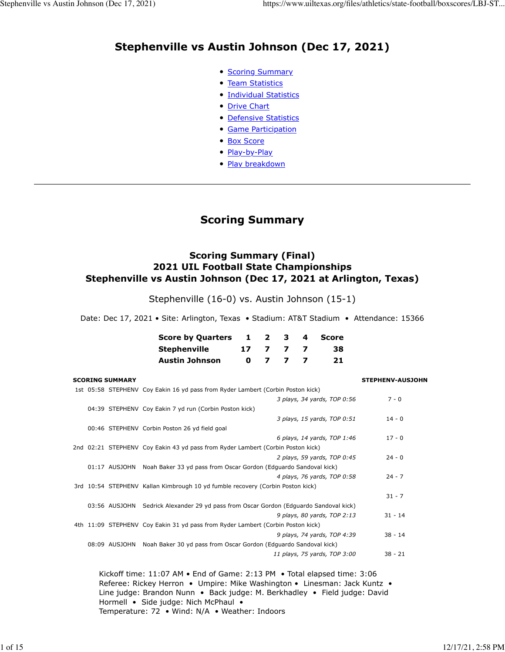## **Stephenville vs Austin Johnson (Dec 17, 2021)**

- **[Scoring Summary](https://www.uiltexas.org/files/athletics/state-football/boxscores/LBJ-STEP.HTM#GAME.SUM)**
- [Team Statistics](https://www.uiltexas.org/files/athletics/state-football/boxscores/LBJ-STEP.HTM#GAME.TEM)
- [Individual Statistics](https://www.uiltexas.org/files/athletics/state-football/boxscores/LBJ-STEP.HTM#GAME.IND)
- [Drive Chart](https://www.uiltexas.org/files/athletics/state-football/boxscores/LBJ-STEP.HTM#GAME.DRV)
- [Defensive Statistics](https://www.uiltexas.org/files/athletics/state-football/boxscores/LBJ-STEP.HTM#GAME.DEF)
- [Game Participation](https://www.uiltexas.org/files/athletics/state-football/boxscores/LBJ-STEP.HTM#GAME.PRE)
- [Box Score](https://www.uiltexas.org/files/athletics/state-football/boxscores/LBJ-STEP.HTM#GAME.NEW)
- [Play-by-Play](https://www.uiltexas.org/files/athletics/state-football/boxscores/LBJ-STEP.HTM#GAME.PLY)
- [Play breakdown](https://www.uiltexas.org/files/athletics/state-football/boxscores/LBJ-STEP.HTM#GAME.SCO)

## **Scoring Summary**

#### **Scoring Summary (Final) 2021 UIL Football State Championships Stephenville vs Austin Johnson (Dec 17, 2021 at Arlington, Texas)**

Stephenville (16-0) vs. Austin Johnson (15-1)

Date: Dec 17, 2021 • Site: Arlington, Texas • Stadium: AT&T Stadium • Attendance: 15366

| Score by Quarters 1 |    | $\mathbf{z}$ | - 3- - | 4 Score |
|---------------------|----|--------------|--------|---------|
| Stephenville        | 17 | 77           |        | 38.     |
| Austin Johnson      | n. |              |        | 21.     |

|  | <b>SCORING SUMMARY</b> |                                                                                 | <b>STEPHENV-AUSJOHN</b> |
|--|------------------------|---------------------------------------------------------------------------------|-------------------------|
|  |                        | 1st 05:58 STEPHENV Coy Eakin 16 yd pass from Ryder Lambert (Corbin Poston kick) |                         |
|  |                        | 3 plays, 34 yards, TOP 0:56                                                     | $7 - 0$                 |
|  |                        | 04:39 STEPHENV Coy Eakin 7 yd run (Corbin Poston kick)                          |                         |
|  |                        | 3 plays, 15 yards, TOP 0:51                                                     | $14 - 0$                |
|  |                        | 00:46 STEPHENV Corbin Poston 26 yd field goal                                   |                         |
|  |                        | 6 plays, 14 yards, TOP 1:46                                                     | $17 - 0$                |
|  |                        | 2nd 02:21 STEPHENV Coy Eakin 43 yd pass from Ryder Lambert (Corbin Poston kick) |                         |
|  |                        | 2 plays, 59 yards, TOP 0:45                                                     | $24 - 0$                |
|  |                        | 01:17 AUSJOHN Noah Baker 33 yd pass from Oscar Gordon (Edguardo Sandoval kick)  |                         |
|  |                        | 4 plays, 76 yards, TOP 0:58                                                     | $24 - 7$                |
|  |                        | 3rd 10:54 STEPHENV Kallan Kimbrough 10 yd fumble recovery (Corbin Poston kick)  |                         |
|  |                        |                                                                                 | $31 - 7$                |
|  | 03:56 AUSJOHN          | Sedrick Alexander 29 yd pass from Oscar Gordon (Edguardo Sandoval kick)         |                         |
|  |                        | 9 plays, 80 yards, TOP 2:13                                                     | $31 - 14$               |
|  |                        | 4th 11:09 STEPHENV Coy Eakin 31 yd pass from Ryder Lambert (Corbin Poston kick) |                         |
|  |                        | 9 plays, 74 yards, TOP 4:39                                                     | $38 - 14$               |
|  |                        | 08:09 AUSJOHN Noah Baker 30 yd pass from Oscar Gordon (Edguardo Sandoval kick)  |                         |
|  |                        | 11 plays, 75 yards, TOP 3:00                                                    | $38 - 21$               |
|  |                        |                                                                                 |                         |

Kickoff time: 11:07 AM • End of Game: 2:13 PM • Total elapsed time: 3:06 Referee: Rickey Herron • Umpire: Mike Washington • Linesman: Jack Kuntz • Line judge: Brandon Nunn • Back judge: M. Berkhadley • Field judge: David Hormell • Side judge: Nich McPhaul • Temperature: 72 • Wind: N/A • Weather: Indoors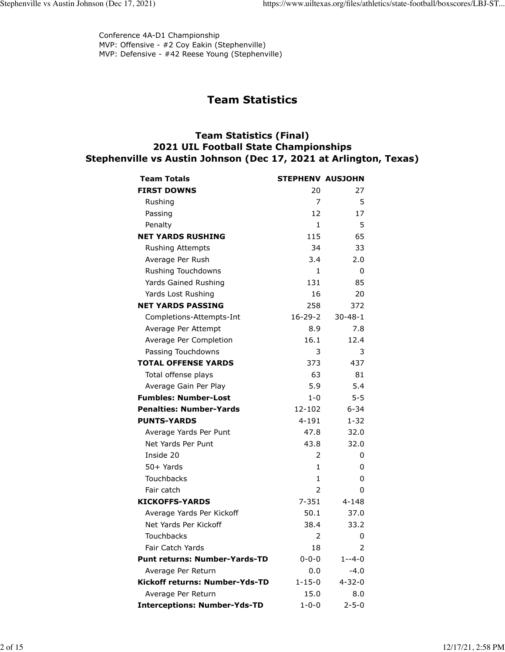Conference 4A-D1 Championship MVP: Offensive - #2 Coy Eakin (Stephenville) MVP: Defensive - #42 Reese Young (Stephenville)

## **Team Statistics**

#### **Team Statistics (Final) 2021 UIL Football State Championships Stephenville vs Austin Johnson (Dec 17, 2021 at Arlington, Texas)**

| <b>Team Totals</b>                   | <b>STEPHENV AUSJOHN</b> |               |
|--------------------------------------|-------------------------|---------------|
| <b>FIRST DOWNS</b>                   | 20                      | 27            |
| Rushing                              | 7                       | 5             |
| Passing                              | 12                      | 17            |
| Penalty                              | 1                       | 5             |
| <b>NET YARDS RUSHING</b>             | 115                     | 65            |
| <b>Rushing Attempts</b>              | 34                      | 33            |
| Average Per Rush                     | 3.4                     | 2.0           |
| Rushing Touchdowns                   | 1                       | 0             |
| Yards Gained Rushing                 | 131                     | 85            |
| Yards Lost Rushing                   | 16                      | 20            |
| <b>NET YARDS PASSING</b>             | 258                     | 372           |
| Completions-Attempts-Int             | $16 - 29 - 2$           | $30 - 48 - 1$ |
| Average Per Attempt                  | 8.9                     | 7.8           |
| Average Per Completion               | 16.1                    | 12.4          |
| Passing Touchdowns                   | 3                       | 3             |
| <b>TOTAL OFFENSE YARDS</b>           | 373                     | 437           |
| Total offense plays                  | 63                      | 81            |
| Average Gain Per Play                | 5.9                     | 5.4           |
| <b>Fumbles: Number-Lost</b>          | $1 - 0$                 | $5 - 5$       |
| <b>Penalties: Number-Yards</b>       | 12-102                  | $6 - 34$      |
| <b>PUNTS-YARDS</b>                   | 4-191                   | $1 - 32$      |
| Average Yards Per Punt               | 47.8                    | 32.0          |
| Net Yards Per Punt                   | 43.8                    | 32.0          |
| Inside 20                            | 2                       | 0             |
| $50+$ Yards                          | 1                       | 0             |
| <b>Touchbacks</b>                    | $\mathbf 1$             | 0             |
| Fair catch                           | $\overline{2}$          | 0             |
| <b>KICKOFFS-YARDS</b>                | 7-351                   | $4 - 148$     |
| Average Yards Per Kickoff            | 50.1                    | 37.0          |
| Net Yards Per Kickoff                | 38.4                    | 33.2          |
| <b>Touchbacks</b>                    | 2                       | 0             |
| Fair Catch Yards                     | 18                      | 2             |
| <b>Punt returns: Number-Yards-TD</b> | $0 - 0 - 0$             | 1--4-0        |
| Average Per Return                   | 0.0                     | $-4.0$        |
| Kickoff returns: Number-Yds-TD       | $1 - 15 - 0$            | $4 - 32 - 0$  |
| Average Per Return                   | 15.0                    | 8.0           |
| <b>Interceptions: Number-Yds-TD</b>  | $1 - 0 - 0$             | $2 - 5 - 0$   |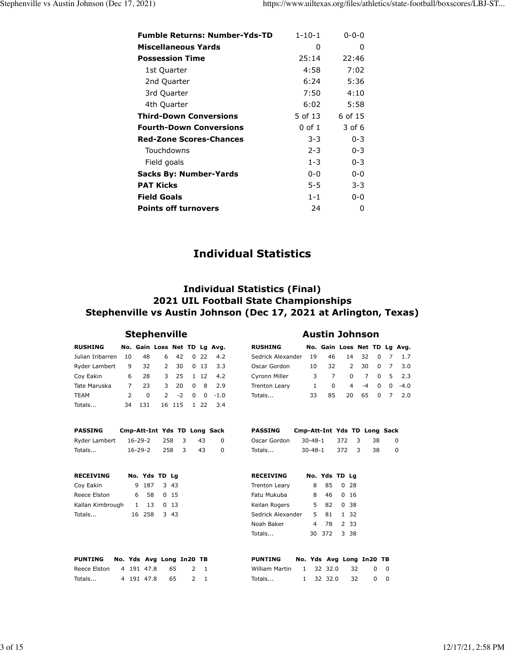| <b>Fumble Returns: Number-Yds-TD</b> | $1 - 10 - 1$ | $0 - 0 - 0$ |
|--------------------------------------|--------------|-------------|
| Miscellaneous Yards                  | 0            | O           |
| <b>Possession Time</b>               | 25:14        | 22:46       |
| 1st Quarter                          | 4:58         | 7:02        |
| 2nd Quarter                          | 6:24         | 5:36        |
| 3rd Quarter                          | 7:50         | 4:10        |
| 4th Quarter                          | 6:02         | 5:58        |
| <b>Third-Down Conversions</b>        | 5 of 13      | 6 of 15     |
| <b>Fourth-Down Conversions</b>       | 0 of 1       | 3 of 6      |
| <b>Red-Zone Scores-Chances</b>       | $3 - 3$      | $0 - 3$     |
| Touchdowns                           | $2 - 3$      | $0 - 3$     |
| Field goals                          | $1 - 3$      | $0 - 3$     |
| Sacks By: Number-Yards               | $0 - 0$      | $0 - 0$     |
| <b>PAT Kicks</b>                     | 5-5          | $3 - 3$     |
| <b>Field Goals</b>                   | $1 - 1$      | $0 - 0$     |
| <b>Points off turnovers</b>          | 24           | 0           |

## **Individual Statistics**

#### **Individual Statistics (Final) 2021 UIL Football State Championships Stephenville vs Austin Johnson (Dec 17, 2021 at Arlington, Texas)**

## **Stephenville Austin Johnson**

| <b>RUSHING</b>   |               | No. Gain Loss Net TD Lg Avg. |                |         |          |          |               |
|------------------|---------------|------------------------------|----------------|---------|----------|----------|---------------|
| Julian Iribarren | 10            | 48                           |                | 6 42    |          |          | 0, 22, 4.2    |
| Ryder Lambert    |               | 9 32                         | $\overline{2}$ | 30      |          | $0 \t13$ | 3.3           |
| Coy Eakin        | 6             | 28                           |                |         |          |          | 3 25 1 12 4.2 |
| Tate Maruska     | 7             | 23                           | 3              | 20      | $\Omega$ | 8        | 2.9           |
| <b>TEAM</b>      | $\mathcal{P}$ | <sup>0</sup>                 |                | $2 - 2$ | $\Omega$ |          | $0 - 1.0$     |
| Totals           | 34            | 131                          |                | 16 115  |          | 1 22     | 3.4           |

| PASSING       | Cmp-Att-Int Yds TD Long Sack |  |     |          |
|---------------|------------------------------|--|-----|----------|
| Ryder Lambert | 16-29-2 258 3                |  | 43  | - 0      |
| Totals        | 16-29-2 258 3                |  | -43 | $\Omega$ |

|  | 1 13 | No. Yds TD Lg<br>9 187 3 43<br>6 58 0 15<br>0, 13<br>16 258 3 43 |
|--|------|------------------------------------------------------------------|

| PUNTING No. Yds Avg Long In20 TB |  |            |     |         |     |  |
|----------------------------------|--|------------|-----|---------|-----|--|
|                                  |  |            |     | - 2 - 1 |     |  |
| Totals                           |  | 4 191 47.8 | 65. |         | 2 1 |  |

| Sedrick Alexander |              |                                     |                            |         |                                                                                                                                                      |
|-------------------|--------------|-------------------------------------|----------------------------|---------|------------------------------------------------------------------------------------------------------------------------------------------------------|
|                   |              |                                     |                            |         |                                                                                                                                                      |
|                   |              |                                     |                            |         |                                                                                                                                                      |
|                   | <sup>0</sup> |                                     |                            |         |                                                                                                                                                      |
|                   |              |                                     |                            |         |                                                                                                                                                      |
|                   |              | 19<br>10<br>3<br>$\mathbf{1}$<br>33 | 46<br>$\overline{7}$<br>85 | $4 - 4$ | No. Gain Loss Net TD Lg Avg.<br>14 32 0 7 1.7<br>32 2 30 0 7 3.0<br>$0 \quad 7 \quad 0 \quad 5 \quad 2.3$<br>$0 \quad 0 \quad -4.0$<br>20 65 0 7 2.0 |

| PASSING | Cmp-Att-Int Yds TD Long Sack  |  |                |
|---------|-------------------------------|--|----------------|
|         | Oscar Gordon 30-48-1 372 3 38 |  | $\overline{0}$ |
| Totals  | 30-48-1 372 3 38              |  | $\Omega$       |

| <b>RECEIVING</b>  |    | No. Yds TD Lg |         |  |
|-------------------|----|---------------|---------|--|
| Trenton Leary     | 8  |               | 85 0 28 |  |
| Fatu Mukuba       | 8  |               | 46 0 16 |  |
| Keilan Rogers     | 5. |               | 82 0 38 |  |
| Sedrick Alexander |    | 5 81 1 32     |         |  |
| Noah Baker        |    | 4 78 2 33     |         |  |
| Totals            |    | 30 372 3 38   |         |  |

| <b>PUNTING</b>              |  |           | No. Yds Avg Long In20 TB |          |            |
|-----------------------------|--|-----------|--------------------------|----------|------------|
| William Martin 1 32 32.0 32 |  |           |                          | $\Omega$ | - 0        |
| Totals                      |  | 1 32 32.0 | -32                      | $\Omega$ | $^{\circ}$ |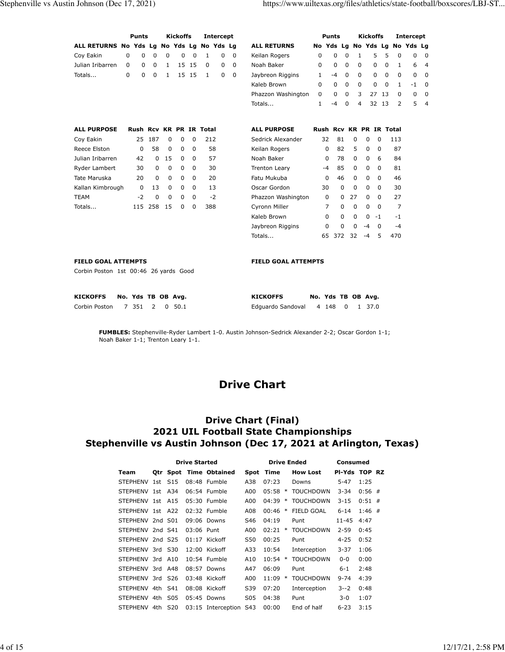|                                                                     |                    | <b>Punts</b> |             |              | <b>Kickoffs</b> |             |                         | <b>Intercept</b> |             |                            |              | <b>Punts</b>                  |             |              | <b>Kickoffs</b>      |             |              | <b>Intercept</b> |                |
|---------------------------------------------------------------------|--------------------|--------------|-------------|--------------|-----------------|-------------|-------------------------|------------------|-------------|----------------------------|--------------|-------------------------------|-------------|--------------|----------------------|-------------|--------------|------------------|----------------|
| ALL RETURNS No Yds Lg No Yds Lg No Yds Lg                           |                    |              |             |              |                 |             |                         |                  |             | <b>ALL RETURNS</b>         |              | No Yds Lg No Yds Lg No Yds Lg |             |              |                      |             |              |                  |                |
| Coy Eakin                                                           | $\mathbf 0$        | $\mathbf 0$  | $\mathbf 0$ | $\mathbf 0$  | $\mathbf 0$     | $\mathbf 0$ | 1                       | 0                | $\mathbf 0$ | Keilan Rogers              | $\mathbf 0$  | 0                             | $\mathbf 0$ | $\mathbf{1}$ | 5                    | 5           | $\mathbf 0$  | 0                | $\overline{0}$ |
| Julian Iribarren                                                    | $\Omega$           | $\Omega$     | $\Omega$    | $\mathbf{1}$ | 15              | 15          | $\Omega$                | 0                | $\mathbf 0$ | Noah Baker                 | 0            | 0                             | 0           | $\Omega$     | 0                    | $\Omega$    | 1            | 6                | $\overline{4}$ |
| Totals                                                              | $\Omega$           | $\mathbf 0$  | $\mathbf 0$ | $\mathbf{1}$ |                 | 15 15       | $\mathbf{1}$            | 0                | 0           | Jaybreon Riggins           | $\mathbf{1}$ | $-4$                          | $\mathbf 0$ | 0            | $\mathbf 0$          | $\Omega$    | 0            | 0                | $\mathbf 0$    |
|                                                                     |                    |              |             |              |                 |             |                         |                  |             | Kaleb Brown                | $\Omega$     | $\Omega$                      | $\mathbf 0$ | 0            | 0                    | $\mathbf 0$ | $\mathbf{1}$ | $-1$             | $\overline{0}$ |
|                                                                     |                    |              |             |              |                 |             |                         |                  |             | Phazzon Washington         | $\Omega$     | 0                             | $\Omega$    | 3            | 27                   | 13          | $\Omega$     | $\mathbf 0$      | $\mathbf 0$    |
|                                                                     |                    |              |             |              |                 |             |                         |                  |             | Totals                     | $\mathbf{1}$ | $-4$                          | $\Omega$    | 4            | 32 13                |             | 2            | 5                | $\overline{4}$ |
| <b>ALL PURPOSE</b>                                                  |                    |              |             |              |                 |             | Rush Rcv KR PR IR Total |                  |             | <b>ALL PURPOSE</b>         |              | Rush Rcv KR PR IR Total       |             |              |                      |             |              |                  |                |
| Coy Eakin                                                           |                    | 25           | 187         | $\mathbf 0$  | 0               | $\mathbf 0$ | 212                     |                  |             | Sedrick Alexander          |              | 81<br>32                      | $\mathbf 0$ |              | 0<br>$\mathbf 0$     |             | 113          |                  |                |
| Reece Elston                                                        |                    | 0            | 58          | 0            | 0               | 0           |                         | 58               |             | Keilan Rogers              |              | 82<br>0                       | 5           |              | 0<br>0               |             | 87           |                  |                |
| Julian Iribarren                                                    |                    | 42           | $\Omega$    | 15           | $\mathbf 0$     | $\mathbf 0$ |                         | 57               |             | Noah Baker                 |              | $\Omega$<br>78                | $\Omega$    |              | 0<br>6               |             | 84           |                  |                |
| Ryder Lambert                                                       |                    | 30           | $\Omega$    | $\mathbf 0$  | $\Omega$        | $\mathbf 0$ | 30                      |                  |             | Trenton Leary              |              | 85<br>-4                      | $\Omega$    |              | 0<br>$\Omega$        |             | 81           |                  |                |
| Tate Maruska                                                        |                    | 20           | $\Omega$    | $\Omega$     | $\Omega$        | $\Omega$    | 20                      |                  |             | Fatu Mukuba                |              | 46<br>$\Omega$                | $\Omega$    |              | 0<br>$\Omega$        |             | 46           |                  |                |
| Kallan Kimbrough                                                    |                    | 0            | 13          | 0            | 0               | $\mathbf 0$ | 13                      |                  |             | Oscar Gordon               |              | $\Omega$<br>30                | $\Omega$    |              | 0<br>$\Omega$        |             | 30           |                  |                |
| <b>TEAM</b>                                                         |                    | $-2$         | $\Omega$    | $\Omega$     | $\Omega$        | $\Omega$    |                         | $-2$             |             | Phazzon Washington         |              | $\Omega$<br>$\Omega$          | 27          |              | 0<br>$\Omega$        |             | 27           |                  |                |
| Totals                                                              |                    | 115 258      |             | 15           | <sup>0</sup>    | $\Omega$    | 388                     |                  |             | Cyronn Miller              |              | 7<br>$\Omega$                 | $\Omega$    |              | $\Omega$<br>$\Omega$ |             | 7            |                  |                |
|                                                                     |                    |              |             |              |                 |             |                         |                  |             | Kaleb Brown                |              | $\Omega$<br>$\Omega$          | $\Omega$    |              | $\Omega$<br>$-1$     |             | $-1$         |                  |                |
|                                                                     |                    |              |             |              |                 |             |                         |                  |             | Jaybreon Riggins           |              | 0<br>0                        | $\mathbf 0$ |              | $-4$<br>$\Omega$     |             | $-4$         |                  |                |
|                                                                     |                    |              |             |              |                 |             |                         |                  |             | Totals                     |              | 65<br>372                     | 32          |              | 5<br>-4              |             | 470          |                  |                |
| <b>FIELD GOAL ATTEMPTS</b><br>Corbin Poston 1st 00:46 26 yards Good |                    |              |             |              |                 |             |                         |                  |             | <b>FIELD GOAL ATTEMPTS</b> |              |                               |             |              |                      |             |              |                  |                |
| <b>KICKOFFS</b>                                                     | No. Yds TB OB Avg. |              |             |              |                 |             |                         |                  |             | <b>KICKOFFS</b>            |              | No. Yds TB OB Avg.            |             |              |                      |             |              |                  |                |
| Corbin Poston                                                       | 7 351              |              | 2           |              | 0, 50.1         |             |                         |                  |             | Edguardo Sandoval          |              | 4 148                         | $\Omega$    |              | 1 37.0               |             |              |                  |                |
|                                                                     |                    |              |             |              |                 |             |                         |                  |             |                            |              |                               |             |              |                      |             |              |                  |                |

**FUMBLES:** Stephenville-Ryder Lambert 1-0. Austin Johnson-Sedrick Alexander 2-2; Oscar Gordon 1-1; Noah Baker 1-1; Trenton Leary 1-1.

# **Drive Chart**

### **Drive Chart (Final) 2021 UIL Football State Championships Stephenville vs Austin Johnson (Dec 17, 2021 at Arlington, Texas)**

|                  |                 | <b>Drive Started</b> |                        |                 | <b>Drive Ended</b> | Consumed         |               |          |  |
|------------------|-----------------|----------------------|------------------------|-----------------|--------------------|------------------|---------------|----------|--|
| Team             |                 |                      | Otr Spot Time Obtained | Spot            | Time               | <b>How Lost</b>  | PI-Yds TOP RZ |          |  |
| STEPHENV 1st S15 |                 |                      | 08:48 Fumble           | A38             | 07:23              | <b>Downs</b>     | $5 - 47$      | 1:25     |  |
| STEPHENV 1st A34 |                 |                      | 06:54 Fumble           | A00             | 05:58<br>$\ast$    | <b>TOUCHDOWN</b> | $3 - 34$      | $0:56$ # |  |
| STEPHENV 1st A15 |                 |                      | 05:30 Fumble           | A00             | 04:39<br>$\ast$    | <b>TOUCHDOWN</b> | $3 - 15$      | $0:51$ # |  |
| STEPHENV 1st A22 |                 |                      | $02:32$ Fumble         | A08             | 00:46<br>$\ast$    | FIELD GOAL       | $6 - 14$      | $1:46$ # |  |
| STEPHENV 2nd S01 |                 |                      | 09:06 Downs            | S46             | 04:19              | Punt             | 11-45         | 4:47     |  |
| STEPHENV 2nd S41 |                 | 03:06 Punt           |                        | A00             | 02:21<br>$\ast$    | <b>TOUCHDOWN</b> | $2 - 59$      | 0:45     |  |
| STEPHENV 2nd S25 |                 |                      | $01:17$ Kickoff        | S50             | 00:25              | Punt             | 4-25          | 0:52     |  |
| STEPHENV 3rd S30 |                 |                      | $12:00$ Kickoff        | A33             | 10:54              | Interception     | $3 - 37$      | 1:06     |  |
| STEPHENV 3rd A10 |                 |                      | 10:54 Fumble           | A10             | $10:54$ *          | <b>TOUCHDOWN</b> | $0 - 0$       | 0:00     |  |
| STEPHENV 3rd A48 |                 |                      | 08:57 Downs            | A47             | 06:09              | Punt             | $6 - 1$       | 2:48     |  |
| STEPHENV 3rd     | S <sub>26</sub> |                      | 03:48 Kickoff          | A00             | 11:09<br>$\ast$    | <b>TOUCHDOWN</b> | $9 - 74$      | 4:39     |  |
| STEPHENV 4th S41 |                 |                      | 08:08 Kickoff          | S39             | 07:20              | Interception     | $3 - 2$       | 0:48     |  |
| STEPHENV 4th S05 |                 |                      | 05:45 Downs            | S <sub>05</sub> | 04:38              | Punt             | $3 - 0$       | 1:07     |  |
| STEPHENV 4th     | S <sub>20</sub> |                      | 03:15 Interception S43 |                 | 00:00              | End of half      | $6 - 23$      | 3:15     |  |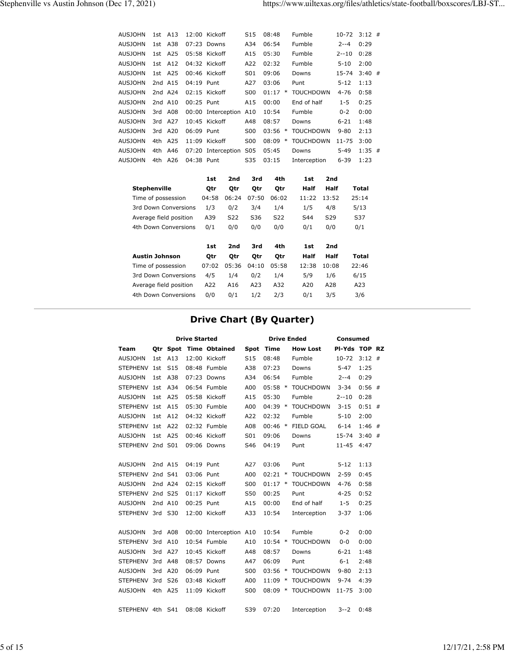| <b>AUSJOHN</b> |     | 1st A13   |              | $12:00$ Kickoff    | S <sub>15</sub> | 08:48 |        | Fumble           | $10-72$   | $3:12$ # |  |
|----------------|-----|-----------|--------------|--------------------|-----------------|-------|--------|------------------|-----------|----------|--|
| <b>AUSJOHN</b> |     | 1st A38   |              | $07:23$ Downs      | A34             | 06:54 |        | Fumble           | $2 - -4$  | 0:29     |  |
| <b>AUSJOHN</b> |     | $1st$ A25 |              | 05:58 Kickoff      | A15             | 05:30 |        | Fumble           | $2 - 10$  | 0:28     |  |
| <b>AUSJOHN</b> |     | 1st A12   |              | 04:32 Kickoff      | A22             | 02:32 |        | Fumble           | $5 - 10$  | 2:00     |  |
| <b>AUSJOHN</b> |     | 1st A25   |              | 00:46 Kickoff      | S01             | 09:06 |        | Downs            | 15-74     | $3:40$ # |  |
| <b>AUSJOHN</b> |     | 2nd A15   | 04:19 Punt   |                    | A27             | 03:06 |        | Punt             | $5 - 12$  | 1:13     |  |
| <b>AUSJOHN</b> |     | 2nd A24   |              | $02:15$ Kickoff    | S00             | 01:17 | $\ast$ | <b>TOUCHDOWN</b> | 4-76      | 0:58     |  |
| <b>AUSJOHN</b> |     | 2nd A10   | $00:25$ Punt |                    | A15             | 00:00 |        | End of half      | $1 - 5$   | 0:25     |  |
| <b>AUSJOHN</b> |     | 3rd A08   |              | 00:00 Interception | A10             | 10:54 |        | Fumble           | $0 - 2$   | 0:00     |  |
| <b>AUSJOHN</b> |     | 3rd A27   |              | 10:45 Kickoff      | A48             | 08:57 |        | Downs            | $6 - 21$  | 1:48     |  |
| <b>AUSJOHN</b> |     | 3rd A20   | 06:09 Punt   |                    | S00             | 03:56 | $\ast$ | <b>TOUCHDOWN</b> | $9 - 80$  | 2:13     |  |
| <b>AUSJOHN</b> |     | 4th A25   |              | $11:09$ Kickoff    | S00             | 08:09 | $\ast$ | <b>TOUCHDOWN</b> | $11 - 75$ | 3:00     |  |
| <b>AUSJOHN</b> | 4th | A46       |              | 07:20 Interception | S05             | 05:45 |        | Downs            | $5 - 49$  | $1:35$ # |  |
| <b>AUSJOHN</b> |     | 4th A26   | 04:38 Punt   |                    | S35             | 03:15 |        | Interception     | $6 - 39$  | 1:23     |  |
|                |     |           |              |                    |                 |       |        |                  |           |          |  |

|                        | 1st   | 2nd   | 3rd   | 4th        | 1st   | 2nd   |       |
|------------------------|-------|-------|-------|------------|-------|-------|-------|
| <b>Stephenville</b>    | Qtr   | Qtr   | Qtr   | Qtr        | Half  | Half  | Total |
| Time of possession     | 04:58 | 06:24 | 07:50 | 06:02      | 11:22 | 13:52 | 25:14 |
| 3rd Down Conversions   | 1/3   | 0/2   | 3/4   | 1/4        | 1/5   | 4/8   | 5/13  |
| Average field position | A39   | S22   | S36   | S22        | S44   | S29   | S37   |
| 4th Down Conversions   | 0/1   | 0/0   | 0/0   | 0/0        | 0/1   | 0/0   | 0/1   |
|                        |       |       |       |            |       |       |       |
|                        | 1st   | 2nd   | 3rd   | 4th        | 1st   | 2nd   |       |
| <b>Austin Johnson</b>  | Otr   | Otr   | Otr   | <b>Otr</b> | Half  | Half  | Total |
| Time of possession     | 07:02 | 05:36 | 04:10 | 05:58      | 12:38 | 10:08 | 22:46 |
| 3rd Down Conversions   | 4/5   | 1/4   | 0/2   | 1/4        | 5/9   | 1/6   | 6/15  |
| Average field position | A22   | A16   | A23   | A32        | A20   | A28   | A23   |
| 4th Down Conversions   | 0/0   | 0/1   | 1/2   | 2/3        | 0/1   | 3/5   | 3/6   |

# **Drive Chart (By Quarter)**

|                  |         |                 | <b>Drive Started</b> |                        |                 | <b>Drive Ended</b> |                  | <b>Consumed</b> |          |  |  |
|------------------|---------|-----------------|----------------------|------------------------|-----------------|--------------------|------------------|-----------------|----------|--|--|
| Team             |         |                 |                      | Qtr Spot Time Obtained | <b>Spot</b>     | <b>Time</b>        | <b>How Lost</b>  | PI-Yds TOP RZ   |          |  |  |
| <b>AUSJOHN</b>   | 1st     | A13             |                      | 12:00 Kickoff          | S <sub>15</sub> | 08:48              | Fumble           | $10 - 72$       | $3:12$ # |  |  |
| <b>STEPHENV</b>  | 1st     | S <sub>15</sub> |                      | 08:48 Fumble           | A38             | 07:23              | Downs            | $5 - 47$        | 1:25     |  |  |
| <b>AUSJOHN</b>   | 1st     | A38             |                      | 07:23 Downs            | A34             | 06:54              | Fumble           | 2--4            | 0:29     |  |  |
| <b>STEPHENV</b>  | 1st     | A34             |                      | 06:54 Fumble           | A00             | $05:58$ *          | <b>TOUCHDOWN</b> | $3 - 34$        | $0:56$ # |  |  |
| <b>AUSJOHN</b>   | 1st     | A25             |                      | 05:58 Kickoff          | A15             | 05:30              | Fumble           | $2 - 10$        | 0:28     |  |  |
| STEPHENV 1st     |         | A15             |                      | 05:30 Fumble           | A00             | $04:39$ *          | <b>TOUCHDOWN</b> | $3 - 15$        | $0:51$ # |  |  |
| <b>AUSJOHN</b>   | 1st     | A12             |                      | 04:32 Kickoff          | A22             | 02:32              | Fumble           | $5 - 10$        | 2:00     |  |  |
| <b>STEPHENV</b>  | 1st     | A22             |                      | 02:32 Fumble           | A08             | $00:46$ *          | FIELD GOAL       | $6 - 14$        | $1:46$ # |  |  |
| <b>AUSJOHN</b>   | 1st     | A25             |                      | 00:46 Kickoff          | S01             | 09:06              | Downs            | 15-74           | $3:40$ # |  |  |
| STEPHENV 2nd S01 |         |                 |                      | 09:06 Downs            | S46             | 04:19              | Punt             | $11 - 45$       | 4:47     |  |  |
|                  |         |                 |                      |                        |                 |                    |                  |                 |          |  |  |
| <b>AUSJOHN</b>   |         | 2nd A15         | 04:19 Punt           |                        | A27             | 03:06              | Punt             | $5 - 12$        | 1:13     |  |  |
| <b>STEPHENV</b>  | 2nd S41 |                 | 03:06 Punt           |                        | A00             | 02:21<br>$\ast$    | <b>TOUCHDOWN</b> | $2 - 59$        | 0:45     |  |  |
| <b>AUSJOHN</b>   |         | 2nd A24         |                      | 02:15 Kickoff          | S00             | $01:17$ *          | <b>TOUCHDOWN</b> | $4 - 76$        | 0:58     |  |  |
| <b>STEPHENV</b>  | 2nd S25 |                 |                      | 01:17 Kickoff          | S50             | 00:25              | Punt             | $4 - 25$        | 0:52     |  |  |
| <b>AUSJOHN</b>   | 2nd A10 |                 | 00:25 Punt           |                        | A15             | 00:00              | End of half      | $1 - 5$         | 0:25     |  |  |
| STEPHENV 3rd S30 |         |                 |                      | 12:00 Kickoff          | A33             | 10:54              | Interception     | $3 - 37$        | 1:06     |  |  |
|                  |         |                 |                      |                        |                 |                    |                  |                 |          |  |  |
| <b>AUSJOHN</b>   | 3rd     | A08             |                      | 00:00 Interception A10 |                 | 10:54              | Fumble           | $0 - 2$         | 0:00     |  |  |
| <b>STEPHENV</b>  | 3rd     | A10             |                      | 10:54 Fumble           | A10             | $10:54$ *          | <b>TOUCHDOWN</b> | $0 - 0$         | 0:00     |  |  |
| <b>AUSJOHN</b>   | 3rd     | A27             |                      | 10:45 Kickoff          | A48             | 08:57              | Downs            | $6 - 21$        | 1:48     |  |  |
| STEPHENV 3rd     |         | A48             |                      | 08:57 Downs            | A47             | 06:09              | Punt             | $6 - 1$         | 2:48     |  |  |
| <b>AUSJOHN</b>   | 3rd     | A20             | 06:09 Punt           |                        | S <sub>00</sub> | 03:56<br>$\ast$    | <b>TOUCHDOWN</b> | $9 - 80$        | 2:13     |  |  |
| STEPHENV 3rd     |         | S <sub>26</sub> |                      | 03:48 Kickoff          | A00             | $11:09$ *          | <b>TOUCHDOWN</b> | $9 - 74$        | 4:39     |  |  |
| <b>AUSJOHN</b>   |         | 4th A25         |                      | 11:09 Kickoff          | <b>S00</b>      | 08:09<br>$\ast$    | <b>TOUCHDOWN</b> | $11 - 75$       | 3:00     |  |  |
|                  |         |                 |                      |                        |                 |                    |                  |                 |          |  |  |
| STEPHENV 4th S41 |         |                 |                      | 08:08 Kickoff          | S39             | 07:20              | Interception     | $3 - 2$         | 0:48     |  |  |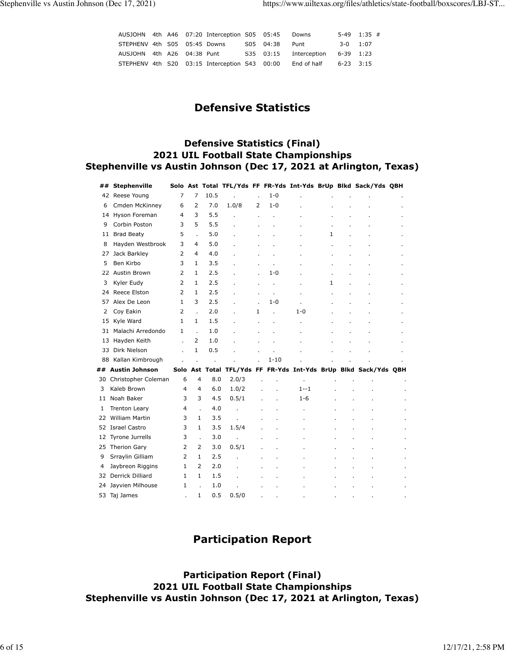|                              |  | AUSJOHN 4th A46 07:20 Interception S05 05:45  |                | Downs                            |            | $5-49$ 1:35 # |
|------------------------------|--|-----------------------------------------------|----------------|----------------------------------|------------|---------------|
| STEPHENV 4th S05 05:45 Downs |  |                                               | S05 04:38 Punt |                                  | $3-0$ 1:07 |               |
| AUSJOHN 4th A26 04:38 Punt   |  |                                               |                | S35 03:15 Interception 6-39 1:23 |            |               |
|                              |  | STEPHENV 4th S20 03:15 Interception S43 00:00 |                | End of half $6-23$ 3:15          |            |               |

## **Defensive Statistics**

#### **Defensive Statistics (Final) 2021 UIL Football State Championships Stephenville vs Austin Johnson (Dec 17, 2021 at Arlington, Texas)**

| ## | Stephenville           |                |                |         |       |    |                |         |   | Solo Ast Total TFL/Yds FF FR-Yds Int-Yds BrUp Blkd Sack/Yds QBH |  |
|----|------------------------|----------------|----------------|---------|-------|----|----------------|---------|---|-----------------------------------------------------------------|--|
|    | 42 Reese Young         | 7              | 7              | 10.5    |       |    | $1 - 0$        |         |   |                                                                 |  |
| 6  | Cmden McKinney         | 6              | $\overline{2}$ | 7.0     | 1.0/8 | 2  | $1 - 0$        |         |   |                                                                 |  |
| 14 | Hyson Foreman          | 4              | 3              | 5.5     |       |    |                |         |   |                                                                 |  |
| 9  | Corbin Poston          | 3              | 5              | 5.5     |       |    |                |         |   |                                                                 |  |
| 11 | <b>Brad Beaty</b>      | 5              |                | 5.0     |       |    |                |         | 1 |                                                                 |  |
| 8  | Hayden Westbrook       | 3              | 4              | 5.0     |       |    |                |         |   |                                                                 |  |
| 27 | Jack Barkley           | 2              | 4              | 4.0     |       |    |                |         |   |                                                                 |  |
| 5  | Ben Kirbo              | 3              | $\mathbf{1}$   | 3.5     |       |    |                |         |   |                                                                 |  |
| 22 | Austin Brown           | 2              | $\mathbf{1}$   | 2.5     |       |    | $1 - 0$        |         |   |                                                                 |  |
| 3  | Kyler Eudy             | 2              | $\mathbf{1}$   | 2.5     |       | ä, | $\epsilon$     |         | 1 |                                                                 |  |
| 24 | Reece Elston           | $\overline{2}$ | $\mathbf{1}$   | 2.5     |       | ÷. | $\mathbf{r}$   |         |   |                                                                 |  |
| 57 | Alex De Leon           | 1              | 3              | 2.5     |       |    | $1 - 0$        |         |   |                                                                 |  |
| 2  | Coy Eakin              | $\overline{2}$ |                | 2.0     |       | 1  | $\overline{a}$ | 1-0     |   |                                                                 |  |
|    | 15 Kyle Ward           | $\mathbf{1}$   | $\mathbf{1}$   | 1.5     |       |    | ÷,             |         |   |                                                                 |  |
| 31 | Malachi Arredondo      | 1              | ÷.             | 1.0     |       |    |                |         |   |                                                                 |  |
| 13 | Hayden Keith           |                | $\overline{2}$ | 1.0     |       |    |                |         |   |                                                                 |  |
| 33 | Dirk Nielson           |                | $\mathbf{1}$   | 0.5     |       |    |                |         |   |                                                                 |  |
|    | 88 Kallan Kimbrough    |                |                | $\cdot$ |       |    | $1 - 10$       |         |   |                                                                 |  |
|    | ## Austin Johnson      |                |                |         |       |    |                |         |   | Solo Ast Total TFL/Yds FF FR-Yds Int-Yds BrUp Blkd Sack/Yds QBH |  |
|    | 30 Christopher Coleman | 6              | 4              | 8.0     | 2.0/3 |    |                |         |   |                                                                 |  |
| 3  | Kaleb Brown            | $\overline{4}$ | 4              | 6.0     | 1.0/2 |    | $\overline{a}$ | $1 - 1$ |   |                                                                 |  |
| 11 | Noah Baker             | 3              | 3              | 4.5     | 0.5/1 |    |                | $1 - 6$ |   |                                                                 |  |
| 1  | <b>Trenton Leary</b>   | 4              |                | 4.0     |       |    |                |         |   |                                                                 |  |
| 22 | <b>William Martin</b>  | 3              | 1              | 3.5     |       |    |                |         |   |                                                                 |  |
| 52 | <b>Israel Castro</b>   | 3              | 1              | 3.5     | 1.5/4 |    |                |         |   |                                                                 |  |
| 12 | <b>Tyrone Jurrells</b> | 3              |                | 3.0     |       |    |                |         |   |                                                                 |  |
|    | 25 Therion Gary        | 2              | $\overline{2}$ | 3.0     | 0.5/1 |    |                |         |   |                                                                 |  |
| 9  | Srraylin Gilliam       | $\overline{2}$ | $\mathbf{1}$   | 2.5     |       |    |                |         |   |                                                                 |  |
| 4  | Jaybreon Riggins       | $\mathbf{1}$   | $\overline{2}$ | 2.0     |       |    |                |         |   |                                                                 |  |
| 32 | Derrick Dilliard       | 1              | $\mathbf{1}$   | 1.5     |       |    |                |         |   |                                                                 |  |
| 24 | Jayvien Milhouse       | 1              |                | 1.0     |       |    |                |         |   |                                                                 |  |
| 53 | Taj James              |                | 1              | 0.5     | 0.5/0 |    |                |         |   |                                                                 |  |

## **Participation Report**

**Participation Report (Final) 2021 UIL Football State Championships Stephenville vs Austin Johnson (Dec 17, 2021 at Arlington, Texas)**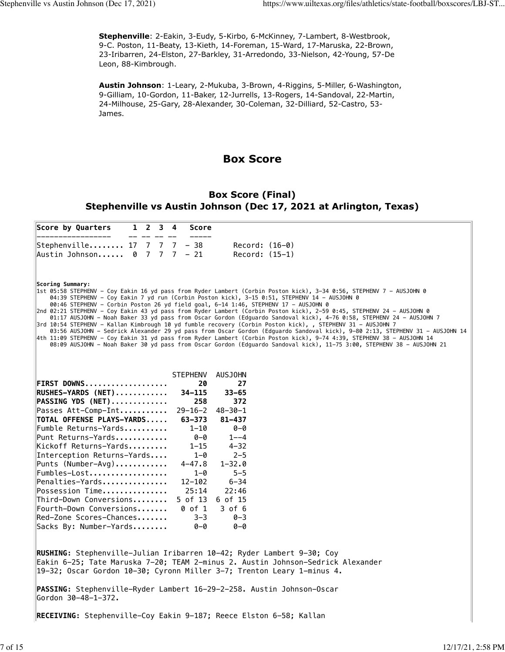**Stephenville**: 2-Eakin, 3-Eudy, 5-Kirbo, 6-McKinney, 7-Lambert, 8-Westbrook, 9-C. Poston, 11-Beaty, 13-Kieth, 14-Foreman, 15-Ward, 17-Maruska, 22-Brown, 23-Iribarren, 24-Elston, 27-Barkley, 31-Arredondo, 33-Nielson, 42-Young, 57-De Leon, 88-Kimbrough.

**Austin Johnson**: 1-Leary, 2-Mukuba, 3-Brown, 4-Riggins, 5-Miller, 6-Washington, 9-Gilliam, 10-Gordon, 11-Baker, 12-Jurrells, 13-Rogers, 14-Sandoval, 22-Martin, 24-Milhouse, 25-Gary, 28-Alexander, 30-Coleman, 32-Dilliard, 52-Castro, 53- James.

### **Box Score**

#### **Box Score (Final) Stephenville vs Austin Johnson (Dec 17, 2021 at Arlington, Texas)**

| Score by Quarters<br>$1 \t2 \t3 \t4$<br>Score                                                                                                                                                                                                                                                                                                                                                                                                                                                                                                                                                                                                                                                                                                                                                                                                                                                                                                                                                                                                                                       |
|-------------------------------------------------------------------------------------------------------------------------------------------------------------------------------------------------------------------------------------------------------------------------------------------------------------------------------------------------------------------------------------------------------------------------------------------------------------------------------------------------------------------------------------------------------------------------------------------------------------------------------------------------------------------------------------------------------------------------------------------------------------------------------------------------------------------------------------------------------------------------------------------------------------------------------------------------------------------------------------------------------------------------------------------------------------------------------------|
| Stephenville $17 \quad 7 \quad 7 \quad - \quad 38$<br>$Record: (16-0)$<br>$Record: (15-1)$                                                                                                                                                                                                                                                                                                                                                                                                                                                                                                                                                                                                                                                                                                                                                                                                                                                                                                                                                                                          |
| Scoring Summary:<br>1st 05:58 STEPHENV - Coy Eakin 16 yd pass from Ryder Lambert (Corbin Poston kick), 3-34 0:56, STEPHENV 7 - AUSJOHN 0<br>04:39 STEPHENV - Coy Eakin 7 yd run (Corbin Poston kick), 3-15 0:51, STEPHENV 14 - AUSJOHN 0<br>00:46 STEPHENV - Corbin Poston 26 yd field goal, 6-14 1:46, STEPHENV 17 - AUSJOHN 0<br>2nd 02:21 STEPHENV - Coy Eakin 43 yd pass from Ryder Lambert (Corbin Poston kick), 2-59 0:45, STEPHENV 24 - AUSJOHN 0<br>01:17 AUSJOHN - Noah Baker 33 yd pass from Oscar Gordon (Edguardo Sandoval kick), 4-76 0:58, STEPHENV 24 - AUSJOHN 7<br>3rd 10:54 STEPHENV - Kallan Kimbrough 10 yd fumble recovery (Corbin Poston kick), , STEPHENV 31 - AUSJOHN 7<br>03:56 AUSJOHN - Sedrick Alexander 29 yd pass from Oscar Gordon (Edguardo Sandoval kick), 9-80 2:13, STEPHENV 31 - AUSJOHN 14<br>4th 11:09 STEPHENV - Coy Eakin 31 yd pass from Ryder Lambert (Corbin Poston kick), 9–74 4:39, STEPHENV 38 - AUSJOHN 14<br>08:09 AUSJOHN - Noah Baker 30 yd pass from Oscar Gordon (Edquardo Sandoval kick), 11-75 3:00, STEPHENV 38 - AUSJOHN 21 |
| <b>STEPHENV</b><br><b>AUSJOHN</b>                                                                                                                                                                                                                                                                                                                                                                                                                                                                                                                                                                                                                                                                                                                                                                                                                                                                                                                                                                                                                                                   |
| FIRST DOWNS<br>20<br>27                                                                                                                                                                                                                                                                                                                                                                                                                                                                                                                                                                                                                                                                                                                                                                                                                                                                                                                                                                                                                                                             |
| 34-115<br>RUSHES-YARDS (NET)<br>$33 - 65$                                                                                                                                                                                                                                                                                                                                                                                                                                                                                                                                                                                                                                                                                                                                                                                                                                                                                                                                                                                                                                           |
| <b>PASSING YDS (NET)</b><br>258<br>372                                                                                                                                                                                                                                                                                                                                                                                                                                                                                                                                                                                                                                                                                                                                                                                                                                                                                                                                                                                                                                              |
| $29 - 16 - 2$<br>Passes Att-Comp-Int<br>$48 - 30 - 1$                                                                                                                                                                                                                                                                                                                                                                                                                                                                                                                                                                                                                                                                                                                                                                                                                                                                                                                                                                                                                               |
| <b>TOTAL OFFENSE PLAYS-YARDS</b><br>63-373<br>$81 - 437$                                                                                                                                                                                                                                                                                                                                                                                                                                                                                                                                                                                                                                                                                                                                                                                                                                                                                                                                                                                                                            |
| Fumble Returns-Yards<br>$1 - 10$<br>$0 - Q$                                                                                                                                                                                                                                                                                                                                                                                                                                                                                                                                                                                                                                                                                                                                                                                                                                                                                                                                                                                                                                         |
| Punt Returns-Yards<br>0-0<br>$1 - -4$                                                                                                                                                                                                                                                                                                                                                                                                                                                                                                                                                                                                                                                                                                                                                                                                                                                                                                                                                                                                                                               |
| Kickoff Returns-Yards<br>$1 - 15$<br>$4 - 32$                                                                                                                                                                                                                                                                                                                                                                                                                                                                                                                                                                                                                                                                                                                                                                                                                                                                                                                                                                                                                                       |
| $2 - 5$<br>Interception Returns-Yards<br>$1 - \theta$                                                                                                                                                                                                                                                                                                                                                                                                                                                                                                                                                                                                                                                                                                                                                                                                                                                                                                                                                                                                                               |
| $P$ unts (Number-Avg)<br>$4 - 47.8$<br>$1 - 32.0$                                                                                                                                                                                                                                                                                                                                                                                                                                                                                                                                                                                                                                                                                                                                                                                                                                                                                                                                                                                                                                   |
| Fumbles-Lost<br>$5 - 5$<br>$1 - \theta$                                                                                                                                                                                                                                                                                                                                                                                                                                                                                                                                                                                                                                                                                                                                                                                                                                                                                                                                                                                                                                             |
| Penalties-Yards<br>$6 - 34$<br>$12 - 102$                                                                                                                                                                                                                                                                                                                                                                                                                                                                                                                                                                                                                                                                                                                                                                                                                                                                                                                                                                                                                                           |
| 25:14<br>22:46<br>Possession Time                                                                                                                                                                                                                                                                                                                                                                                                                                                                                                                                                                                                                                                                                                                                                                                                                                                                                                                                                                                                                                                   |
| Third-Down Conversions<br>5 of 13<br>6 of 15                                                                                                                                                                                                                                                                                                                                                                                                                                                                                                                                                                                                                                                                                                                                                                                                                                                                                                                                                                                                                                        |
| Fourth-Down Conversions<br>0 of 1<br>$3$ of $6$                                                                                                                                                                                                                                                                                                                                                                                                                                                                                                                                                                                                                                                                                                                                                                                                                                                                                                                                                                                                                                     |
| Red-Zone Scores-Chances<br>$0 - 3$<br>$3 - 3$                                                                                                                                                                                                                                                                                                                                                                                                                                                                                                                                                                                                                                                                                                                                                                                                                                                                                                                                                                                                                                       |
| Sacks By: Number-Yards<br>0-0<br>0-0                                                                                                                                                                                                                                                                                                                                                                                                                                                                                                                                                                                                                                                                                                                                                                                                                                                                                                                                                                                                                                                |
| RUSHING: Stephenville-Julian Iribarren 10-42; Ryder Lambert 9-30; Coy<br>Eakin 6-25; Tate Maruska 7-20; TEAM 2-minus 2. Austin Johnson-Sedrick Alexander<br>$ 19-32;$ Oscar Gordon 10-30; Cyronn Miller 3-7; Trenton Leary 1-minus 4.                                                                                                                                                                                                                                                                                                                                                                                                                                                                                                                                                                                                                                                                                                                                                                                                                                               |
| PASSING: Stephenville-Ryder Lambert 16-29-2-258. Austin Johnson-Oscar<br>Gordon 30-48-1-372.                                                                                                                                                                                                                                                                                                                                                                                                                                                                                                                                                                                                                                                                                                                                                                                                                                                                                                                                                                                        |
| RECEIVING: Stephenville-Coy Eakin 9-187; Reece Elston 6-58; Kallan                                                                                                                                                                                                                                                                                                                                                                                                                                                                                                                                                                                                                                                                                                                                                                                                                                                                                                                                                                                                                  |

**RECEIVING:** Stephenville-Coy Eakin 9-187; Reece Elston 6-58; Kallan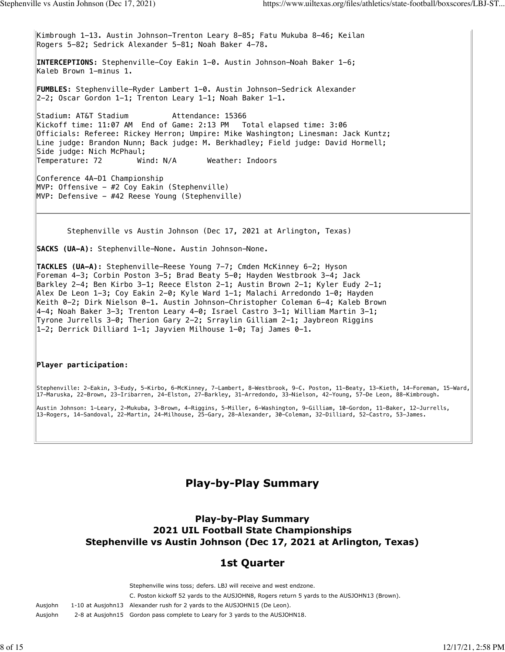Kimbrough 1-13. Austin Johnson-Trenton Leary 8-85; Fatu Mukuba 8-46; Keilan Rogers 5-82; Sedrick Alexander 5-81; Noah Baker 4-78. **INTERCEPTIONS:** Stephenville-Coy Eakin 1-0. Austin Johnson-Noah Baker 1-6; Kaleb Brown 1-minus 1. **FUMBLES:** Stephenville-Ryder Lambert 1-0. Austin Johnson-Sedrick Alexander 2-2; Oscar Gordon 1-1; Trenton Leary 1-1; Noah Baker 1-1. Stadium: AT&T Stadium Mattendance: 15366 Kickoff time: 11:07 AM End of Game: 2:13 PM Total elapsed time: 3:06 Officials: Referee: Rickey Herron; Umpire: Mike Washington; Linesman: Jack Kuntz; Line judge: Brandon Nunn; Back judge: M. Berkhadley; Field judge: David Hormell; Side judge: Nich McPhaul; Temperature: 72 Wind: N/A Weather: Indoors Conference 4A-D1 Championship MVP: Offensive - #2 Coy Eakin (Stephenville) MVP: Defensive - #42 Reese Young (Stephenville)

Stephenville vs Austin Johnson (Dec 17, 2021 at Arlington, Texas)

**SACKS (UA-A):** Stephenville-None. Austin Johnson-None.

**TACKLES (UA-A):** Stephenville-Reese Young 7-7; Cmden McKinney 6-2; Hyson Foreman 4-3; Corbin Poston 3-5; Brad Beaty 5-0; Hayden Westbrook 3-4; Jack Barkley 2-4; Ben Kirbo 3-1; Reece Elston 2-1; Austin Brown 2-1; Kyler Eudy 2-1; Alex De Leon 1-3; Coy Eakin 2-0; Kyle Ward 1-1; Malachi Arredondo 1-0; Hayden Keith 0-2; Dirk Nielson 0-1. Austin Johnson-Christopher Coleman 6-4; Kaleb Brown 4-4; Noah Baker 3-3; Trenton Leary 4-0; Israel Castro 3-1; William Martin 3-1; Tyrone Jurrells 3-0; Therion Gary 2-2; Srraylin Gilliam 2-1; Jaybreon Riggins 1-2; Derrick Dilliard 1-1; Jayvien Milhouse 1-0; Taj James 0-1.

#### **Player participation:**

Stephenville: 2-Eakin, 3-Eudy, 5-Kirbo, 6-McKinney, 7-Lambert, 8-Westbrook, 9-C. Poston, 11-Beaty, 13-Kieth, 14-Foreman, 15-Ward, 17-Maruska, 22-Brown, 23-Iribarren, 24-Elston, 27-Barkley, 31-Arredondo, 33-Nielson, 42-Young, 57-De Leon, 88-Kimbrough.

Austin Johnson: 1-Leary, 2-Mukuba, 3-Brown, 4-Riggins, 5-Miller, 6-Washington, 9-Gilliam, 10-Gordon, 11-Baker, 12-Jurrells, 13-Rogers, 14-Sandoval, 22-Martin, 24-Milhouse, 25-Gary, 28-Alexander, 30-Coleman, 32-Dilliard, 52-Castro, 53-James.

## **Play-by-Play Summary**

## **Play-by-Play Summary 2021 UIL Football State Championships Stephenville vs Austin Johnson (Dec 17, 2021 at Arlington, Texas)**

## **1st Quarter**

Stephenville wins toss; defers. LBJ will receive and west endzone. C. Poston kickoff 52 yards to the AUSJOHN8, Rogers return 5 yards to the AUSJOHN13 (Brown). Ausjohn 1-10 at Ausjohn13 Alexander rush for 2 yards to the AUSJOHN15 (De Leon). Ausjohn 2-8 at Ausjohn15 Gordon pass complete to Leary for 3 yards to the AUSJOHN18.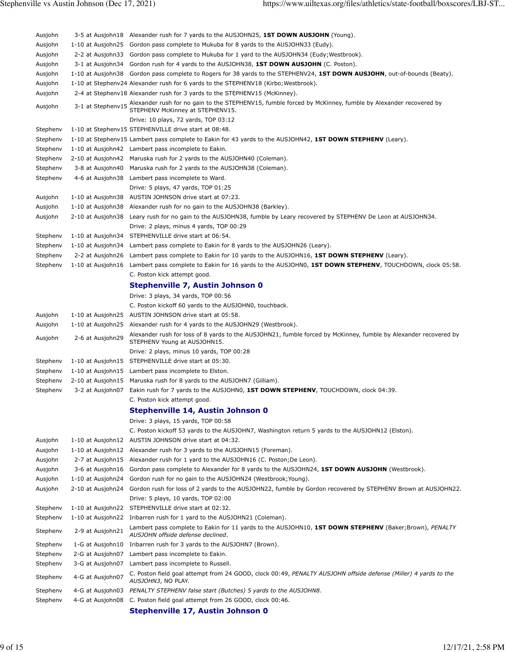| Ausjohn  |                   | 3-5 at Ausjohn18 Alexander rush for 7 yards to the AUSJOHN25, 1ST DOWN AUSJOHN (Young).                                                                                           |
|----------|-------------------|-----------------------------------------------------------------------------------------------------------------------------------------------------------------------------------|
| Ausjohn  |                   | 1-10 at Ausjohn25 Gordon pass complete to Mukuba for 8 yards to the AUSJOHN33 (Eudy).                                                                                             |
| Ausjohn  | 2-2 at Ausjohn33  | Gordon pass complete to Mukuba for 1 yard to the AUSJOHN34 (Eudy; Westbrook).                                                                                                     |
| Ausjohn  | 3-1 at Ausjohn34  | Gordon rush for 4 yards to the AUSJOHN38, 1ST DOWN AUSJOHN (C. Poston).                                                                                                           |
| Ausjohn  |                   | 1-10 at Ausjohn38 Gordon pass complete to Rogers for 38 yards to the STEPHENV24, 1ST DOWN AUSJOHN, out-of-bounds (Beaty).                                                         |
| Ausjohn  |                   | 1-10 at Stephenv24 Alexander rush for 6 yards to the STEPHENV18 (Kirbo; Westbrook).                                                                                               |
| Ausjohn  |                   | 2-4 at Stephenv18 Alexander rush for 3 yards to the STEPHENV15 (McKinney).                                                                                                        |
| Ausjohn  |                   | 3-1 at Stephenv15 Alexander rush for no gain to the STEPHENV15, fumble forced by McKinney, fumble by Alexander recovered by<br>3-1 at Stephenv15 STEPHENV McKinney at STEPHENV15. |
|          |                   | Drive: 10 plays, 72 yards, TOP 03:12                                                                                                                                              |
| Stephenv |                   | 1-10 at Stephenv15 STEPHENVILLE drive start at 08:48.                                                                                                                             |
| Stephenv |                   | 1-10 at Stephenv15 Lambert pass complete to Eakin for 43 yards to the AUSJOHN42, 1ST DOWN STEPHENV (Leary).                                                                       |
| Stephenv |                   | 1-10 at Ausjohn42 Lambert pass incomplete to Eakin.                                                                                                                               |
| Stephenv |                   | 2-10 at Ausjohn42 Maruska rush for 2 yards to the AUSJOHN40 (Coleman).                                                                                                            |
| Stephenv | 3-8 at Ausjohn40  | Maruska rush for 2 yards to the AUSJOHN38 (Coleman).                                                                                                                              |
| Stephenv |                   | 4-6 at Ausjohn 38 Lambert pass incomplete to Ward.                                                                                                                                |
|          |                   | Drive: 5 plays, 47 yards, TOP 01:25                                                                                                                                               |
| Ausjohn  | 1-10 at Ausjohn38 | AUSTIN JOHNSON drive start at 07:23.                                                                                                                                              |
| Ausjohn  | 1-10 at Ausjohn38 | Alexander rush for no gain to the AUSJOHN38 (Barkley).                                                                                                                            |
| Ausjohn  | 2-10 at Ausjohn38 | Leary rush for no gain to the AUSJOHN38, fumble by Leary recovered by STEPHENV De Leon at AUSJOHN34.<br>Drive: 2 plays, minus 4 yards, TOP 00:29                                  |
| Stephenv | 1-10 at Ausjohn34 | STEPHENVILLE drive start at 06:54.                                                                                                                                                |
| Stephenv | 1-10 at Ausjohn34 | Lambert pass complete to Eakin for 8 yards to the AUSJOHN26 (Leary).                                                                                                              |
| Stephenv | 2-2 at Ausjohn26  | Lambert pass complete to Eakin for 10 yards to the AUSJOHN16, 1ST DOWN STEPHENV (Leary).                                                                                          |
| Stephenv | 1-10 at Ausjohn16 | Lambert pass complete to Eakin for 16 yards to the AUSJOHN0, 1ST DOWN STEPHENV, TOUCHDOWN, clock 05:58.<br>C. Poston kick attempt good.                                           |
|          |                   | Stephenville 7, Austin Johnson 0                                                                                                                                                  |
|          |                   | Drive: 3 plays, 34 yards, TOP 00:56                                                                                                                                               |
|          |                   | C. Poston kickoff 60 yards to the AUSJOHN0, touchback.                                                                                                                            |
| Ausjohn  | 1-10 at Ausjohn25 | AUSTIN JOHNSON drive start at 05:58.                                                                                                                                              |
| Ausjohn  | 1-10 at Ausjohn25 | Alexander rush for 4 yards to the AUSJOHN29 (Westbrook).                                                                                                                          |
| Ausjohn  | 2-6 at Ausjohn29  | Alexander rush for loss of 8 yards to the AUSJOHN21, fumble forced by McKinney, fumble by Alexander recovered by<br>STEPHENV Young at AUSJOHN15.                                  |
|          |                   | Drive: 2 plays, minus 10 yards, TOP 00:28                                                                                                                                         |
| Stephenv | 1-10 at Ausjohn15 | STEPHENVILLE drive start at 05:30.                                                                                                                                                |
| Stephenv | 1-10 at Ausjohn15 | Lambert pass incomplete to Elston.                                                                                                                                                |
| Stephenv | 2-10 at Ausjohn15 | Maruska rush for 8 yards to the AUSJOHN7 (Gilliam).                                                                                                                               |
| Stephenv | 3-2 at Ausjohn07  | Eakin rush for 7 yards to the AUSJOHN0, 1ST DOWN STEPHENV, TOUCHDOWN, clock 04:39.                                                                                                |
|          |                   | C. Poston kick attempt good.                                                                                                                                                      |
|          |                   | <b>Stephenville 14, Austin Johnson 0</b>                                                                                                                                          |
|          |                   | Drive: 3 plays, 15 yards, TOP 00:58                                                                                                                                               |
|          |                   | C. Poston kickoff 53 yards to the AUSJOHN7, Washington return 5 yards to the AUSJOHN12 (Elston).                                                                                  |
| Ausjohn  | 1-10 at Ausjohn12 | AUSTIN JOHNSON drive start at 04:32.                                                                                                                                              |
| Ausjohn  | 1-10 at Ausjohn12 | Alexander rush for 3 yards to the AUSJOHN15 (Foreman).                                                                                                                            |
| Ausjohn  | 2-7 at Ausjohn15  | Alexander rush for 1 yard to the AUSJOHN16 (C. Poston; De Leon).                                                                                                                  |
| Ausjohn  | 3-6 at Ausjohn16  | Gordon pass complete to Alexander for 8 yards to the AUSJOHN24, 1ST DOWN AUSJOHN (Westbrook).                                                                                     |
| Ausjohn  | 1-10 at Ausjohn24 | Gordon rush for no gain to the AUSJOHN24 (Westbrook; Young).                                                                                                                      |
| Ausjohn  | 2-10 at Ausjohn24 | Gordon rush for loss of 2 yards to the AUSJOHN22, fumble by Gordon recovered by STEPHENV Brown at AUSJOHN22.                                                                      |
|          |                   | Drive: 5 plays, 10 yards, TOP 02:00                                                                                                                                               |
| Stephenv | 1-10 at Ausjohn22 | STEPHENVILLE drive start at 02:32.                                                                                                                                                |
| Stephenv |                   | 1-10 at Ausjohn22 Iribarren rush for 1 yard to the AUSJOHN21 (Coleman).                                                                                                           |
| Stephenv | 2-9 at Ausjohn21  | Lambert pass complete to Eakin for 11 yards to the AUSJOHN10, 1ST DOWN STEPHENV (Baker;Brown), PENALTY<br>AUSJOHN offside defense declined.                                       |
| Stephenv | 1-G at Ausjohn10  | Iribarren rush for 3 yards to the AUSJOHN7 (Brown).                                                                                                                               |
| Stephenv | 2-G at Ausjohn07  | Lambert pass incomplete to Eakin.                                                                                                                                                 |
| Stephenv | 3-G at Ausjohn07  | Lambert pass incomplete to Russell.                                                                                                                                               |
| Stephenv | 4-G at Ausjohn07  | C. Poston field goal attempt from 24 GOOD, clock 00:49, PENALTY AUSJOHN offside defense (Miller) 4 yards to the<br>AUSJOHN3, NO PLAY.                                             |
| Stephenv | 4-G at Ausjohn03  | PENALTY STEPHENV false start (Butches) 5 yards to the AUSJOHN8.                                                                                                                   |
| Stephenv | 4-G at Ausjohn08  | C. Poston field goal attempt from 26 GOOD, clock 00:46.                                                                                                                           |
|          |                   | Stephenville 17, Austin Johnson 0                                                                                                                                                 |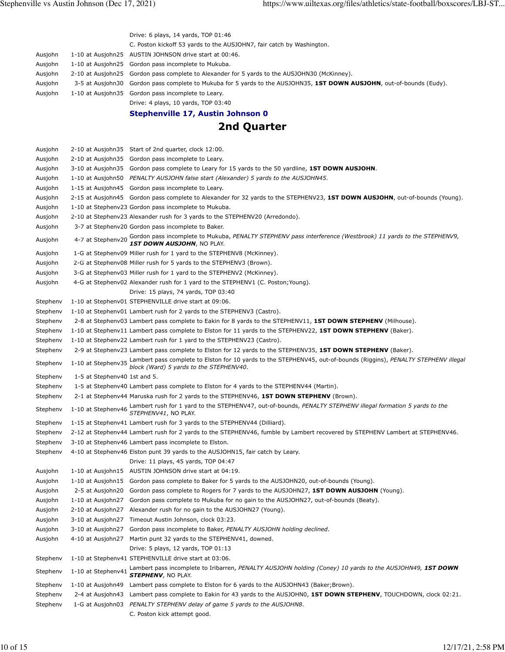|         | Drive: 6 plays, 14 yards, TOP 01:46                                                                                   |
|---------|-----------------------------------------------------------------------------------------------------------------------|
|         | C. Poston kickoff 53 yards to the AUSJOHN7, fair catch by Washington.                                                 |
| Ausjohn | 1-10 at Ausjohn25 AUSTIN JOHNSON drive start at 00:46.                                                                |
| Ausjohn | 1-10 at Ausjohn25 Gordon pass incomplete to Mukuba.                                                                   |
| Ausjohn | 2-10 at Ausjohn25 Gordon pass complete to Alexander for 5 yards to the AUSJOHN30 (McKinney).                          |
| Ausjohn | 3-5 at Ausjohn30 Gordon pass complete to Mukuba for 5 yards to the AUSJOHN35, 1ST DOWN AUSJOHN, out-of-bounds (Eudy). |
| Ausjohn | 1-10 at Ausjohn 35 Gordon pass incomplete to Leary.                                                                   |
|         | Drive: 4 plays, 10 yards, TOP 03:40                                                                                   |
|         | Stephenville 17, Austin Johnson 0                                                                                     |
|         | 2nd Quarter                                                                                                           |
| Ausiohn | $2-10$ at Ausiohn $35$ Start of 2nd quarter clock $12.00$                                                             |

| Ausjonn  |                              | 2-10 at Ausjonness Start or Zhu quarter, Clock 12:00.                                                                                                                                              |
|----------|------------------------------|----------------------------------------------------------------------------------------------------------------------------------------------------------------------------------------------------|
| Ausjohn  |                              | 2-10 at Ausjohn 35 Gordon pass incomplete to Leary.                                                                                                                                                |
| Ausjohn  |                              | 3-10 at Ausjohn35 Gordon pass complete to Leary for 15 yards to the 50 yardline, <b>1ST DOWN AUSJOHN</b> .                                                                                         |
| Ausjohn  | 1-10 at Ausjohn50            | PENALTY AUSJOHN false start (Alexander) 5 yards to the AUSJOHN45.                                                                                                                                  |
| Ausjohn  | 1-15 at Ausjohn45            | Gordon pass incomplete to Leary.                                                                                                                                                                   |
| Ausjohn  |                              | 2-15 at Ausjohn45 Gordon pass complete to Alexander for 32 yards to the STEPHENV23, 1ST DOWN AUSJOHN, out-of-bounds (Young).                                                                       |
| Ausjohn  |                              | 1-10 at Stephenv23 Gordon pass incomplete to Mukuba.                                                                                                                                               |
| Ausjohn  |                              | 2-10 at Stephenv23 Alexander rush for 3 yards to the STEPHENV20 (Arredondo).                                                                                                                       |
| Ausjohn  |                              | 3-7 at Stephenv20 Gordon pass incomplete to Baker.                                                                                                                                                 |
| Ausjohn  | 4-7 at Stephenv20            | Gordon pass incomplete to Mukuba, PENALTY STEPHENV pass interference (Westbrook) 11 yards to the STEPHENV9, 1ST DOWN AUSJOHN, NO PLAY.                                                             |
| Ausjohn  |                              | 1-G at Stephenv09 Miller rush for 1 yard to the STEPHENV8 (McKinney).                                                                                                                              |
| Ausjohn  |                              | 2-G at Stephenv08 Miller rush for 5 yards to the STEPHENV3 (Brown).                                                                                                                                |
| Ausjohn  |                              | 3-G at Stephenv03 Miller rush for 1 yard to the STEPHENV2 (McKinney).                                                                                                                              |
| Ausjohn  |                              | 4-G at Stephenv02 Alexander rush for 1 yard to the STEPHENV1 (C. Poston; Young).                                                                                                                   |
|          |                              | Drive: 15 plays, 74 yards, TOP 03:40                                                                                                                                                               |
| Stephenv |                              | 1-10 at Stephenv01 STEPHENVILLE drive start at 09:06.                                                                                                                                              |
| Stephenv |                              | 1-10 at Stephenv01 Lambert rush for 2 yards to the STEPHENV3 (Castro).                                                                                                                             |
| Stephenv |                              | 2-8 at Stephenv03 Lambert pass complete to Eakin for 8 yards to the STEPHENV11, 1ST DOWN STEPHENV (Milhouse).                                                                                      |
| Stephenv |                              | 1-10 at Stephenv11 Lambert pass complete to Elston for 11 yards to the STEPHENV22, 1ST DOWN STEPHENV (Baker).                                                                                      |
| Stephenv |                              | 1-10 at Stephenv22 Lambert rush for 1 yard to the STEPHENV23 (Castro).                                                                                                                             |
| Stephenv |                              | 2-9 at Stephenv23 Lambert pass complete to Elston for 12 yards to the STEPHENV35, 1ST DOWN STEPHENV (Baker).                                                                                       |
| Stephenv |                              | 1-10 at Stephenv35 Lambert pass complete to Elston for 10 yards to the STEPHENV45, out-of-bounds (Riggins), PENALTY STEPHENV illegal<br>1-10 at Stephenv35 block (Ward) 5 yards to the STEPHENV40. |
| Stephenv | 1-5 at Stephenv40 1st and 5. |                                                                                                                                                                                                    |
| Stephenv |                              | 1-5 at Stephenv40 Lambert pass complete to Elston for 4 yards to the STEPHENV44 (Martin).                                                                                                          |
| Stephenv |                              | 2-1 at Stephenv44 Maruska rush for 2 yards to the STEPHENV46, 1ST DOWN STEPHENV (Brown).                                                                                                           |
| Stephenv |                              | 1-10 at Stephenv46 Lambert rush for 1 yard to the STEPHENV47, out-of-bounds, PENALTY STEPHENV illegal formation 5 yards to the 1-10 at Stephenv46 STEPHENV41, NO PLAY.                             |
| Stephenv |                              | 1-15 at Stephenv41 Lambert rush for 3 yards to the STEPHENV44 (Dilliard).                                                                                                                          |
| Stephenv |                              | 2-12 at Stephenv44 Lambert rush for 2 yards to the STEPHENV46, fumble by Lambert recovered by STEPHENV Lambert at STEPHENV46.                                                                      |
| Stephenv |                              | 3-10 at Stephenv46 Lambert pass incomplete to Elston.                                                                                                                                              |
| Stephenv |                              | 4-10 at Stephenv46 Elston punt 39 yards to the AUSJOHN15, fair catch by Leary.                                                                                                                     |
|          |                              | Drive: 11 plays, 45 yards, TOP 04:47                                                                                                                                                               |
| Ausjohn  |                              | 1-10 at Ausjohn15 AUSTIN JOHNSON drive start at 04:19.                                                                                                                                             |
| Ausjohn  |                              | 1-10 at Ausjohn15 Gordon pass complete to Baker for 5 yards to the AUSJOHN20, out-of-bounds (Young).                                                                                               |
| Ausjohn  | 2-5 at Ausjohn20             | Gordon pass complete to Rogers for 7 yards to the AUSJOHN27, 1ST DOWN AUSJOHN (Young).                                                                                                             |
| Ausjohn  | 1-10 at Ausjohn27            | Gordon pass complete to Mukuba for no gain to the AUSJOHN27, out-of-bounds (Beaty).                                                                                                                |
| Ausjohn  |                              | 2-10 at Ausjohn27 Alexander rush for no gain to the AUSJOHN27 (Young).                                                                                                                             |
| Ausjohn  |                              | 3-10 at Ausjohn27 Timeout Austin Johnson, clock 03:23.                                                                                                                                             |
| Ausjohn  | 3-10 at Ausjohn27            | Gordon pass incomplete to Baker, PENALTY AUSJOHN holding declined.                                                                                                                                 |
| Ausjohn  | 4-10 at Ausjohn27            | Martin punt 32 yards to the STEPHENV41, downed.                                                                                                                                                    |
|          |                              | Drive: 5 plays, 12 yards, TOP 01:13                                                                                                                                                                |
| Stephenv |                              | 1-10 at Stephenv41 STEPHENVILLE drive start at 03:06.                                                                                                                                              |
| Stephenv | 1-10 at Stephenv41           | Lambert pass incomplete to Iribarren, PENALTY AUSJOHN holding (Coney) 10 yards to the AUSJOHN49, 1ST DOWN<br>STEPHENV, NO PLAY.                                                                    |
| Stephenv | 1-10 at Ausjohn49            | Lambert pass complete to Elston for 6 yards to the AUSJOHN43 (Baker; Brown).                                                                                                                       |
| Stephenv | 2-4 at Ausjohn43             | Lambert pass complete to Eakin for 43 yards to the AUSJOHN0, 1ST DOWN STEPHENV, TOUCHDOWN, clock 02:21.                                                                                            |
| Stephenv | 1-G at Ausjohn03             | PENALTY STEPHENV delay of game 5 yards to the AUSJOHN8.                                                                                                                                            |
|          |                              | C. Poston kick attempt good.                                                                                                                                                                       |
|          |                              |                                                                                                                                                                                                    |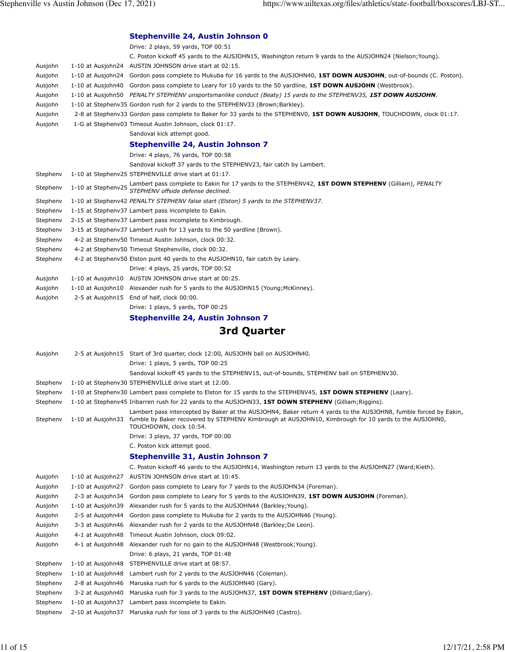|          |                    | Stephenville 24, Austin Johnson 0                                                                                                                    |
|----------|--------------------|------------------------------------------------------------------------------------------------------------------------------------------------------|
|          |                    | Drive: 2 plays, 59 yards, TOP 00:51                                                                                                                  |
|          |                    | C. Poston kickoff 45 yards to the AUSJOHN15, Washington return 9 yards to the AUSJOHN24 (Nielson; Young).                                            |
| Ausjohn  |                    | 1-10 at Ausjohn24 AUSTIN JOHNSON drive start at 02:15.                                                                                               |
| Ausjohn  |                    | 1-10 at Ausjohn24 Gordon pass complete to Mukuba for 16 yards to the AUSJOHN40, 1ST DOWN AUSJOHN, out-of-bounds (C. Poston).                         |
| Ausjohn  | 1-10 at Ausjohn40  | Gordon pass complete to Leary for 10 yards to the 50 yardline, 1ST DOWN AUSJOHN (Westbrook).                                                         |
| Ausjohn  |                    | 1-10 at Ausjohn50 PENALTY STEPHENV unsportsmanlike conduct (Beaty) 15 yards to the STEPHENV35, 1ST DOWN AUSJOHN.                                     |
| Ausjohn  |                    | 1-10 at Stephenv35 Gordon rush for 2 yards to the STEPHENV33 (Brown; Barkley).                                                                       |
| Ausjohn  |                    | 2-8 at Stephenv33 Gordon pass complete to Baker for 33 yards to the STEPHENV0, 1ST DOWN AUSJOHN, TOUCHDOWN, clock 01:17.                             |
| Ausjohn  |                    | 1-G at Stephenv03 Timeout Austin Johnson, clock 01:17.                                                                                               |
|          |                    | Sandoval kick attempt good.                                                                                                                          |
|          |                    | <b>Stephenville 24, Austin Johnson 7</b>                                                                                                             |
|          |                    | Drive: 4 plays, 76 yards, TOP 00:58                                                                                                                  |
|          |                    | Sandoval kickoff 37 yards to the STEPHENV23, fair catch by Lambert.                                                                                  |
| Stephenv |                    | 1-10 at Stephenv25 STEPHENVILLE drive start at 01:17.                                                                                                |
| Stephenv | 1-10 at Stephenv25 | Lambert pass complete to Eakin for 17 yards to the STEPHENV42, <b>1ST DOWN STEPHENV</b> (Gilliam), <i>PENALTY</i> STEPHENV offside defense declined. |
| Stephenv |                    | 1-10 at Stephenv42 PENALTY STEPHENV false start (Elston) 5 yards to the STEPHENV37.                                                                  |
| Stephenv |                    | 1-15 at Stephenv37 Lambert pass incomplete to Eakin.                                                                                                 |
| Stephenv |                    | 2-15 at Stephenv37 Lambert pass incomplete to Kimbrough.                                                                                             |
| Stephenv |                    | 3-15 at Stephenv37 Lambert rush for 13 yards to the 50 yardline (Brown).                                                                             |
| Stephenv |                    | 4-2 at Stephenv50 Timeout Austin Johnson, clock 00:32.                                                                                               |
| Stephenv |                    | 4-2 at Stephenv50 Timeout Stephenville, clock 00:32.                                                                                                 |
| Stephenv |                    | 4-2 at Stephenv50 Elston punt 40 yards to the AUSJOHN10, fair catch by Leary.                                                                        |
|          |                    | Drive: 4 plays, 25 yards, TOP 00:52                                                                                                                  |
| Ausjohn  |                    | 1-10 at Ausjohn10 AUSTIN JOHNSON drive start at 00:25.                                                                                               |
| Ausjohn  |                    | 1-10 at Ausjohn10 Alexander rush for 5 yards to the AUSJOHN15 (Young; McKinney).                                                                     |
| Ausjohn  |                    | 2-5 at Ausjohn15 End of half, clock 00:00.                                                                                                           |
|          |                    | Drive: 1 plays, 5 yards, TOP 00:25                                                                                                                   |
|          |                    | <b>Stephenville 24, Austin Johnson 7</b>                                                                                                             |

# **3rd Quarter**

| Ausjohn  |                   | 2-5 at Ausjohn15 Start of 3rd quarter, clock 12:00, AUSJOHN ball on AUSJOHN40.                                                                                                                                                                       |
|----------|-------------------|------------------------------------------------------------------------------------------------------------------------------------------------------------------------------------------------------------------------------------------------------|
|          |                   | Drive: 1 plays, 5 yards, TOP 00:25                                                                                                                                                                                                                   |
|          |                   | Sandoval kickoff 45 yards to the STEPHENV15, out-of-bounds, STEPHENV ball on STEPHENV30.                                                                                                                                                             |
| Stephenv |                   | 1-10 at Stephenv30 STEPHENVILLE drive start at 12:00.                                                                                                                                                                                                |
| Stephenv |                   | 1-10 at Stephenv30 Lambert pass complete to Elston for 15 yards to the STEPHENV45, 1ST DOWN STEPHENV (Leary).                                                                                                                                        |
| Stephenv |                   | 1-10 at Stephenv45 Iribarren rush for 22 yards to the AUSJOHN33, 1ST DOWN STEPHENV (Gilliam; Riggins).                                                                                                                                               |
| Stephenv | 1-10 at Ausjohn33 | Lambert pass intercepted by Baker at the AUSJOHN4, Baker return 4 yards to the AUSJOHN8, fumble forced by Eakin,<br>fumble by Baker recovered by STEPHENV Kimbrough at AUSJOHN10, Kimbrough for 10 yards to the AUSJOHN0,<br>TOUCHDOWN, clock 10:54. |
|          |                   | Drive: 3 plays, 37 yards, TOP 00:00                                                                                                                                                                                                                  |
|          |                   | C. Poston kick attempt good.                                                                                                                                                                                                                         |
|          |                   | Stephenville 31, Austin Johnson 7                                                                                                                                                                                                                    |
|          |                   | C. Poston kickoff 46 yards to the AUSJOHN14, Washington return 13 yards to the AUSJOHN27 (Ward; Kieth).                                                                                                                                              |
| Ausjohn  | 1-10 at Ausjohn27 | AUSTIN JOHNSON drive start at 10:45.                                                                                                                                                                                                                 |
| Ausjohn  | 1-10 at Ausjohn27 | Gordon pass complete to Leary for 7 yards to the AUSJOHN34 (Foreman).                                                                                                                                                                                |
| Ausjohn  | 2-3 at Ausjohn34  | Gordon pass complete to Leary for 5 yards to the AUSJOHN39, 1ST DOWN AUSJOHN (Foreman).                                                                                                                                                              |
| Ausjohn  | 1-10 at Ausjohn39 | Alexander rush for 5 yards to the AUSJOHN44 (Barkley; Young).                                                                                                                                                                                        |
| Ausjohn  | 2-5 at Ausjohn44  | Gordon pass complete to Mukuba for 2 yards to the AUSJOHN46 (Young).                                                                                                                                                                                 |
| Ausjohn  | 3-3 at Ausjohn46  | Alexander rush for 2 yards to the AUSJOHN48 (Barkley; De Leon).                                                                                                                                                                                      |
| Ausjohn  | 4-1 at Ausjohn48  | Timeout Austin Johnson, clock 09:02.                                                                                                                                                                                                                 |
| Ausjohn  | 4-1 at Ausjohn48  | Alexander rush for no gain to the AUSJOHN48 (Westbrook; Young).                                                                                                                                                                                      |
|          |                   | Drive: 6 plays, 21 yards, TOP 01:48                                                                                                                                                                                                                  |
| Stephenv | 1-10 at Ausjohn48 | STEPHENVILLE drive start at 08:57.                                                                                                                                                                                                                   |
| Stephenv | 1-10 at Ausjohn48 | Lambert rush for 2 yards to the AUSJOHN46 (Coleman).                                                                                                                                                                                                 |
| Stephenv | 2-8 at Ausjohn46  | Maruska rush for 6 yards to the AUSJOHN40 (Gary).                                                                                                                                                                                                    |
| Stephenv | 3-2 at Ausjohn40  | Maruska rush for 3 yards to the AUSJOHN37, 1ST DOWN STEPHENV (Dilliard; Gary).                                                                                                                                                                       |
| Stephenv | 1-10 at Ausjohn37 | Lambert pass incomplete to Eakin.                                                                                                                                                                                                                    |
| Stephenv | 2-10 at Ausjohn37 | Maruska rush for loss of 3 yards to the AUSJOHN40 (Castro).                                                                                                                                                                                          |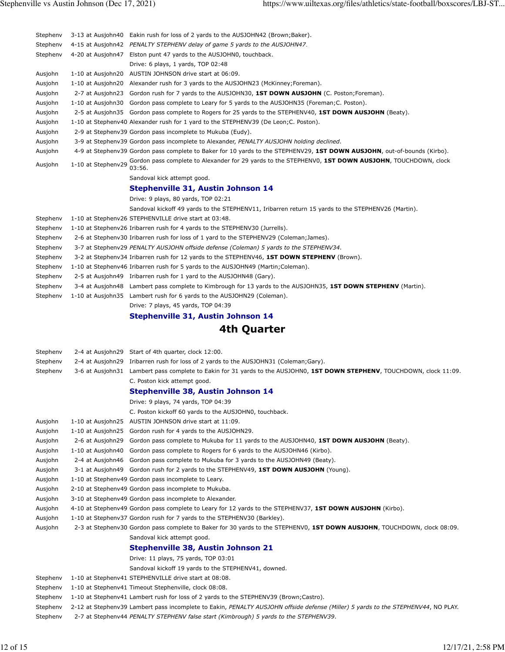| Stephenv | 3-13 at Ausjohn40  | Eakin rush for loss of 2 yards to the AUSJOHN42 (Brown; Baker).                                                                   |
|----------|--------------------|-----------------------------------------------------------------------------------------------------------------------------------|
| Stephenv | 4-15 at Ausjohn42  | PENALTY STEPHENV delay of game 5 yards to the AUSJOHN47.                                                                          |
| Stephenv | 4-20 at Ausjohn47  | Elston punt 47 yards to the AUSJOHN0, touchback.                                                                                  |
|          |                    | Drive: 6 plays, 1 yards, TOP 02:48                                                                                                |
| Ausjohn  |                    | 1-10 at Ausjohn20 AUSTIN JOHNSON drive start at 06:09.                                                                            |
| Ausjohn  |                    | 1-10 at Ausjohn20 Alexander rush for 3 yards to the AUSJOHN23 (McKinney; Foreman).                                                |
| Ausjohn  | 2-7 at Ausjohn23   | Gordon rush for 7 yards to the AUSJOHN30, 1ST DOWN AUSJOHN (C. Poston; Foreman).                                                  |
| Ausjohn  | 1-10 at Ausjohn30  | Gordon pass complete to Leary for 5 yards to the AUSJOHN35 (Foreman; C. Poston).                                                  |
| Ausjohn  |                    | 2-5 at Ausjohn35 Gordon pass complete to Rogers for 25 yards to the STEPHENV40, 1ST DOWN AUSJOHN (Beaty).                         |
| Ausjohn  |                    | 1-10 at Stephenv40 Alexander rush for 1 yard to the STEPHENV39 (De Leon; C. Poston).                                              |
| Ausjohn  |                    | 2-9 at Stephenv39 Gordon pass incomplete to Mukuba (Eudy).                                                                        |
| Ausjohn  |                    | 3-9 at Stephenv39 Gordon pass incomplete to Alexander, PENALTY AUSJOHN holding declined.                                          |
| Ausjohn  |                    | 4-9 at Stephenv39 Gordon pass complete to Baker for 10 yards to the STEPHENV29, 1ST DOWN AUSJOHN, out-of-bounds (Kirbo).          |
| Ausjohn  | 1-10 at Stephenv29 | Gordon pass complete to Alexander for 29 yards to the STEPHENV0, 1ST DOWN AUSJOHN, TOUCHDOWN, clock<br>03:56.                     |
|          |                    | Sandoval kick attempt good.                                                                                                       |
|          |                    | <b>Stephenville 31, Austin Johnson 14</b>                                                                                         |
|          |                    |                                                                                                                                   |
|          |                    | Drive: 9 plays, 80 yards, TOP 02:21                                                                                               |
|          |                    | Sandoval kickoff 49 yards to the STEPHENV11, Iribarren return 15 yards to the STEPHENV26 (Martin).                                |
| Stephenv |                    | 1-10 at Stephenv26 STEPHENVILLE drive start at 03:48.                                                                             |
| Stephenv |                    | 1-10 at Stephenv26 Iribarren rush for 4 yards to the STEPHENV30 (Jurrells).                                                       |
| Stephenv |                    | 2-6 at Stephenv30 Iribarren rush for loss of 1 yard to the STEPHENV29 (Coleman; James).                                           |
| Stephenv |                    | 3-7 at Stephenv29 PENALTY AUSJOHN offside defense (Coleman) 5 yards to the STEPHENV34.                                            |
| Stephenv |                    | 3-2 at Stephenv34 Iribarren rush for 12 yards to the STEPHENV46, 1ST DOWN STEPHENV (Brown).                                       |
| Stephenv |                    | 1-10 at Stephenv46 Iribarren rush for 5 yards to the AUSJOHN49 (Martin; Coleman).                                                 |
| Stephenv |                    | 2-5 at Ausjohn49 Iribarren rush for 1 yard to the AUSJOHN48 (Gary).                                                               |
| Stephenv |                    | 3-4 at Ausjohn48 Lambert pass complete to Kimbrough for 13 yards to the AUSJOHN35, 1ST DOWN STEPHENV (Martin).                    |
| Stephenv |                    | 1-10 at Ausjohn35 Lambert rush for 6 yards to the AUSJOHN29 (Coleman).                                                            |
|          |                    | Drive: 7 plays, 45 yards, TOP 04:39                                                                                               |
|          |                    | <b>Stephenville 31, Austin Johnson 14</b>                                                                                         |
|          |                    | 4th Quarter                                                                                                                       |
|          |                    |                                                                                                                                   |
|          |                    |                                                                                                                                   |
| Stephenv |                    | 2-4 at Ausjohn29 Start of 4th quarter, clock 12:00.                                                                               |
| Stephenv |                    | 2-4 at Ausjohn29 Iribarren rush for loss of 2 yards to the AUSJOHN31 (Coleman; Gary).                                             |
| Stephenv |                    | 3-6 at Ausjohn31 Lambert pass complete to Eakin for 31 yards to the AUSJOHN0, 1ST DOWN STEPHENV, TOUCHDOWN, clock 11:09.          |
|          |                    | C. Poston kick attempt good.                                                                                                      |
|          |                    | <b>Stephenville 38, Austin Johnson 14</b>                                                                                         |
|          |                    | Drive: 9 plays, 74 yards, TOP 04:39                                                                                               |
|          |                    | C. Poston kickoff 60 yards to the AUSJOHN0, touchback.                                                                            |
| Ausjohn  | 1-10 at Ausjohn25  | AUSTIN JOHNSON drive start at 11:09.                                                                                              |
| Ausjohn  | 1-10 at Ausjohn25  | Gordon rush for 4 yards to the AUSJOHN29.                                                                                         |
| Ausjohn  | 2-6 at Ausjohn29   | Gordon pass complete to Mukuba for 11 yards to the AUSJOHN40, 1ST DOWN AUSJOHN (Beaty).                                           |
| Ausjohn  | 1-10 at Ausjohn40  | Gordon pass complete to Rogers for 6 yards to the AUSJOHN46 (Kirbo).                                                              |
| Ausjohn  | 2-4 at Ausjohn46   | Gordon pass complete to Mukuba for 3 yards to the AUSJOHN49 (Beaty).                                                              |
| Ausjohn  | 3-1 at Ausjohn49   | Gordon rush for 2 yards to the STEPHENV49, 1ST DOWN AUSJOHN (Young).                                                              |
| Ausjohn  |                    | 1-10 at Stephenv49 Gordon pass incomplete to Leary.                                                                               |
| Ausjohn  |                    |                                                                                                                                   |
| Ausjohn  |                    |                                                                                                                                   |
|          |                    | 2-10 at Stephenv49 Gordon pass incomplete to Mukuba.                                                                              |
|          |                    | 3-10 at Stephenv49 Gordon pass incomplete to Alexander.                                                                           |
| Ausjohn  |                    | 4-10 at Stephenv49 Gordon pass complete to Leary for 12 yards to the STEPHENV37, 1ST DOWN AUSJOHN (Kirbo).                        |
| Ausjohn  |                    | 1-10 at Stephenv37 Gordon rush for 7 yards to the STEPHENV30 (Barkley).                                                           |
| Ausjohn  |                    | 2-3 at Stephenv30 Gordon pass complete to Baker for 30 yards to the STEPHENV0, 1ST DOWN AUSJOHN, TOUCHDOWN, clock 08:09.          |
|          |                    | Sandoval kick attempt good.                                                                                                       |
|          |                    | <b>Stephenville 38, Austin Johnson 21</b>                                                                                         |
|          |                    | Drive: 11 plays, 75 yards, TOP 03:01                                                                                              |
|          |                    | Sandoval kickoff 19 yards to the STEPHENV41, downed.                                                                              |
| Stephenv |                    | 1-10 at Stephenv41 STEPHENVILLE drive start at 08:08.                                                                             |
| Stephenv |                    | 1-10 at Stephenv41 Timeout Stephenville, clock 08:08.                                                                             |
| Stephenv |                    | 1-10 at Stephenv41 Lambert rush for loss of 2 yards to the STEPHENV39 (Brown; Castro).                                            |
| Stephenv |                    | 2-12 at Stephenv39 Lambert pass incomplete to Eakin, PENALTY AUSJOHN offside defense (Miller) 5 yards to the STEPHENV44, NO PLAY. |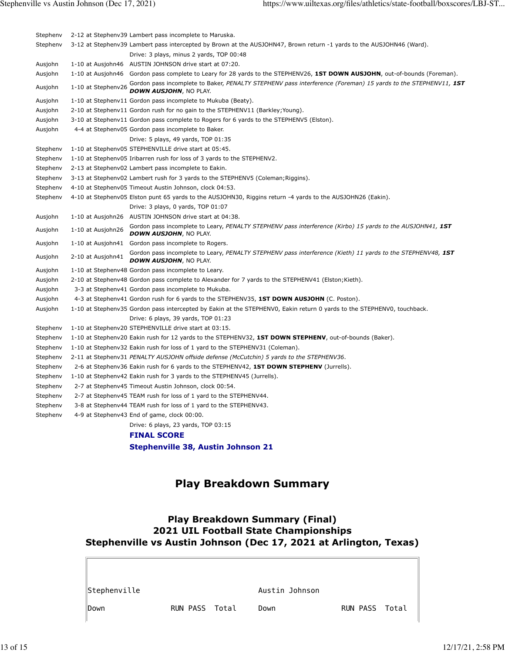| Stephenv |                    | 2-12 at Stephenv39 Lambert pass incomplete to Maruska.                                                                                                         |  |  |  |  |  |
|----------|--------------------|----------------------------------------------------------------------------------------------------------------------------------------------------------------|--|--|--|--|--|
| Stephenv |                    | 3-12 at Stephenv39 Lambert pass intercepted by Brown at the AUSJOHN47, Brown return -1 yards to the AUSJOHN46 (Ward).                                          |  |  |  |  |  |
|          |                    | Drive: 3 plays, minus 2 yards, TOP 00:48                                                                                                                       |  |  |  |  |  |
| Ausjohn  |                    | 1-10 at Ausjohn46 AUSTIN JOHNSON drive start at 07:20.                                                                                                         |  |  |  |  |  |
| Ausjohn  |                    | 1-10 at Ausjohn46 Gordon pass complete to Leary for 28 yards to the STEPHENV26, 1ST DOWN AUSJOHN, out-of-bounds (Foreman).                                     |  |  |  |  |  |
| Ausjohn  | 1-10 at Stephenv26 | Gordon pass incomplete to Baker, PENALTY STEPHENV pass interference (Foreman) 15 yards to the STEPHENV11, 1ST<br>DOWN AUSJOHN, NO PLAY.                        |  |  |  |  |  |
| Ausjohn  |                    | 1-10 at Stephenv11 Gordon pass incomplete to Mukuba (Beaty).                                                                                                   |  |  |  |  |  |
| Ausjohn  |                    | 2-10 at Stephenv11 Gordon rush for no gain to the STEPHENV11 (Barkley; Young).                                                                                 |  |  |  |  |  |
| Ausjohn  |                    | 3-10 at Stephenv11 Gordon pass complete to Rogers for 6 yards to the STEPHENV5 (Elston).                                                                       |  |  |  |  |  |
| Ausjohn  |                    | 4-4 at Stephenv05 Gordon pass incomplete to Baker.                                                                                                             |  |  |  |  |  |
|          |                    | Drive: 5 plays, 49 yards, TOP 01:35                                                                                                                            |  |  |  |  |  |
| Stephenv |                    | 1-10 at Stephenv05 STEPHENVILLE drive start at 05:45.                                                                                                          |  |  |  |  |  |
| Stephenv |                    | 1-10 at Stephenv05 Iribarren rush for loss of 3 yards to the STEPHENV2.                                                                                        |  |  |  |  |  |
| Stephenv |                    | 2-13 at Stephenv02 Lambert pass incomplete to Eakin.                                                                                                           |  |  |  |  |  |
| Stephenv |                    | 3-13 at Stephenv02 Lambert rush for 3 yards to the STEPHENV5 (Coleman; Riggins).                                                                               |  |  |  |  |  |
| Stephenv |                    | 4-10 at Stephenv05 Timeout Austin Johnson, clock 04:53.                                                                                                        |  |  |  |  |  |
| Stephenv |                    | 4-10 at Stephenv05 Elston punt 65 yards to the AUSJOHN30, Riggins return -4 yards to the AUSJOHN26 (Eakin).                                                    |  |  |  |  |  |
|          |                    | Drive: 3 plays, 0 yards, TOP 01:07                                                                                                                             |  |  |  |  |  |
| Ausjohn  |                    | 1-10 at Ausjohn26 AUSTIN JOHNSON drive start at 04:38.                                                                                                         |  |  |  |  |  |
| Ausjohn  | 1-10 at Ausjohn26  | Gordon pass incomplete to Leary, PENALTY STEPHENV pass interference (Kirbo) 15 yards to the AUSJOHN41, 1ST<br><b>DOWN AUSJOHN, NO PLAY.</b>                    |  |  |  |  |  |
| Ausjohn  |                    | 1-10 at Ausjohn41 Gordon pass incomplete to Rogers.                                                                                                            |  |  |  |  |  |
| Ausjohn  | 2-10 at Ausjohn41  | Gordon pass incomplete to Leary, PENALTY STEPHENV pass interference (Kieth) 11 yards to the STEPHENV48, 1ST<br><b>DOWN AUSJOHN, NO PLAY.</b>                   |  |  |  |  |  |
| Ausjohn  |                    | 1-10 at Stephenv48 Gordon pass incomplete to Leary.                                                                                                            |  |  |  |  |  |
| Ausjohn  |                    | 2-10 at Stephenv48 Gordon pass complete to Alexander for 7 yards to the STEPHENV41 (Elston; Kieth).                                                            |  |  |  |  |  |
| Ausjohn  |                    | 3-3 at Stephenv41 Gordon pass incomplete to Mukuba.                                                                                                            |  |  |  |  |  |
| Ausjohn  |                    | 4-3 at Stephenv41 Gordon rush for 6 yards to the STEPHENV35, 1ST DOWN AUSJOHN (C. Poston).                                                                     |  |  |  |  |  |
| Ausjohn  |                    | 1-10 at Stephenv35 Gordon pass intercepted by Eakin at the STEPHENV0, Eakin return 0 yards to the STEPHENV0, touchback.<br>Drive: 6 plays, 39 yards, TOP 01:23 |  |  |  |  |  |
| Stephenv |                    | 1-10 at Stephenv20 STEPHENVILLE drive start at 03:15.                                                                                                          |  |  |  |  |  |
| Stephenv |                    | 1-10 at Stephenv20 Eakin rush for 12 yards to the STEPHENV32, 1ST DOWN STEPHENV, out-of-bounds (Baker).                                                        |  |  |  |  |  |
| Stephenv |                    | 1-10 at Stephenv32 Eakin rush for loss of 1 yard to the STEPHENV31 (Coleman).                                                                                  |  |  |  |  |  |
| Stephenv |                    | 2-11 at Stephenv31 PENALTY AUSJOHN offside defense (McCutchin) 5 yards to the STEPHENV36.                                                                      |  |  |  |  |  |
| Stephenv |                    | 2-6 at Stephenv36 Eakin rush for 6 yards to the STEPHENV42, 1ST DOWN STEPHENV (Jurrells).                                                                      |  |  |  |  |  |
| Stephenv |                    | 1-10 at Stephenv42 Eakin rush for 3 yards to the STEPHENV45 (Jurrells).                                                                                        |  |  |  |  |  |
| Stephenv |                    | 2-7 at Stephenv45 Timeout Austin Johnson, clock 00:54.                                                                                                         |  |  |  |  |  |
| Stephenv |                    | 2-7 at Stephenv45 TEAM rush for loss of 1 yard to the STEPHENV44.                                                                                              |  |  |  |  |  |
| Stephenv |                    | 3-8 at Stephenv44 TEAM rush for loss of 1 yard to the STEPHENV43.                                                                                              |  |  |  |  |  |
| Stephenv |                    | 4-9 at Stephenv43 End of game, clock 00:00.                                                                                                                    |  |  |  |  |  |
|          |                    | Drive: 6 plays, 23 yards, TOP 03:15                                                                                                                            |  |  |  |  |  |
|          |                    | <b>FINAL SCORE</b>                                                                                                                                             |  |  |  |  |  |
|          |                    | <b>Stephenville 38, Austin Johnson 21</b>                                                                                                                      |  |  |  |  |  |
|          |                    |                                                                                                                                                                |  |  |  |  |  |
|          |                    | <b>Play Breakdown Summary</b>                                                                                                                                  |  |  |  |  |  |

## **Play Breakdown Summary (Final) 2021 UIL Football State Championships Stephenville vs Austin Johnson (Dec 17, 2021 at Arlington, Texas)**

| ∥Stephenville    |                | Austin Johnson |                |  |
|------------------|----------------|----------------|----------------|--|
| $\parallel$ Down | RUN PASS Total | Down           | RUN PASS Total |  |

 $\Box$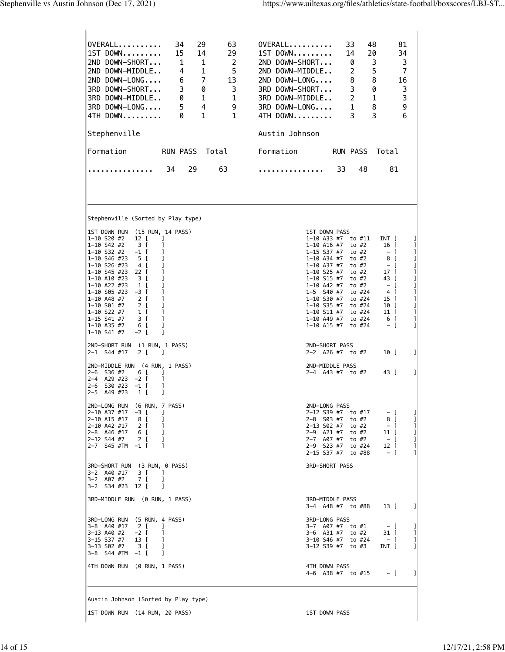| OVERALL<br>34<br>29<br>63<br>1ST DOWN<br>15<br>14<br>29<br>2<br>2ND DOWN-SHORT<br>$\overline{1}$<br>1<br>5<br>2ND DOWN-MIDDLE<br>4<br>1<br>$\overline{7}$<br>2ND DOWN-LONG<br>6<br>13<br>3<br>0<br>3<br>3RD DOWN-SHORT<br>$\overline{\phantom{0}}$<br>3RD DOWN-MIDDLE<br>0<br>1<br>$5 \qquad 4$<br>3RD DOWN-LONG<br>9<br>1<br>$\mathbf{1}$<br>4TH DOWN<br>0<br>Stephenville<br><b>RUN PASS</b><br>Total<br>Formation<br>34<br>29<br>63 | $0VERALL$ ,,,,,,,,,,<br>33<br>48<br>81<br>1ST DOWN<br>20<br>34<br>14<br>3<br>2ND DOWN-SHORT<br>3<br>0<br>5<br>2<br>$\overline{7}$<br>2ND DOWN-MIDDLE<br>8<br>8<br>$2ND$ $DOWN-LONG$<br>16<br>3<br>0<br>3<br>3RD DOWN-SHORT<br>$\overline{2}$<br>$\mathbf{1}$<br>3<br>3RD DOWN-MIDDLE<br>$1 \quad \blacksquare$<br>8<br>9<br>3RD DOWN-LONG<br>3<br>6<br>3<br>4TH DOWN<br>Austin Johnson<br>Formation<br><b>RUN PASS</b><br>Total<br>33<br>48<br>81 |
|----------------------------------------------------------------------------------------------------------------------------------------------------------------------------------------------------------------------------------------------------------------------------------------------------------------------------------------------------------------------------------------------------------------------------------------|---------------------------------------------------------------------------------------------------------------------------------------------------------------------------------------------------------------------------------------------------------------------------------------------------------------------------------------------------------------------------------------------------------------------------------------------------|
| Stephenville (Sorted by Play type)<br>1ST DOWN RUN<br>(15 RUN, 14 PASS)                                                                                                                                                                                                                                                                                                                                                                | 1ST DOWN PASS                                                                                                                                                                                                                                                                                                                                                                                                                                     |
| $1 - 10$ S20 #2<br>12 [<br>-1<br>1-10 S42 #2<br>3 <sub>1</sub><br>1<br>1-10 S32 #2<br>$-1$ [<br>1<br>1-10 S46 #23<br>5 [<br>1-10 S26 #23<br>4 I<br>1-10 S45 #23<br>22 I<br>1-10 A10 #23<br>3 [<br>1-10 A22 #23<br>1 [                                                                                                                                                                                                                  | 1<br>1-10 A33 #7<br>to #11<br>INT [<br>$1-10$ A16 #7<br>to #2<br>16 I<br>1<br>$1 - 15$ S37 #7<br>1<br>to #2<br>– I<br>1-10 A34 #7<br>to #2<br>8 [<br>I<br>$1 - 10$ A37 #7<br>$-$ [<br>1<br>to #2<br>$1 - 10$ S25 #7<br>to #2<br>17 I<br>1<br>$1 - 10$ S15 #7<br>to #2<br>43 [<br>I<br>$1 - 10$ A42 #7<br>$-$ [<br>1<br>to #2                                                                                                                      |
| 1-10 S05 #23<br>$-3$ [<br>2 [<br>1-10 A48 #7<br>1<br>2 I<br>1-10 S01 #7<br>1-10 S22 #7<br>1<br>1 [<br>$1 - 15$ S41 #7<br>3 [<br>1<br>1<br>1-10 A35 #7<br>6 [<br>$1 - 10$ S41 #7<br>$-2$ [<br>1                                                                                                                                                                                                                                         | $1 - 5$ S40 #7<br>to #24<br>4 [<br>I<br>1<br>1-10 S30 #7<br>to #24<br>15 [<br>1-10 S35 #7<br>1<br>to #24<br>10 I<br>1-10 S11 #7<br>to #24<br>1<br>11 [<br>6 [<br>1<br>$1 - 10$ A49 #7<br>to #24<br>$1 - 10$ A15 #7<br>to #24<br>$-1$<br>1                                                                                                                                                                                                         |
| (1 RUN, 1 PASS)<br>2ND-SHORT RUN<br>2-1 S44 #17<br>2 [<br>-1                                                                                                                                                                                                                                                                                                                                                                           | 2ND-SHORT PASS<br>1<br>10 [<br>$2-2$ A26 #7 to #2                                                                                                                                                                                                                                                                                                                                                                                                 |
| 2ND-MIDDLE RUN (4 RUN, 1 PASS)<br>$2 - 6$<br>S36 #2<br>6<br>$\mathbf{I}$<br>J<br>A29 #23<br>$-2$ [<br>2–4<br>1<br>S30 #23<br>$2 - 6$<br>$-1$ [<br>2-5 A49 #23<br>1 [<br>1                                                                                                                                                                                                                                                              | 2ND-MIDDLE PASS<br>1<br>2-4 A43 #7 to #2<br>43 [                                                                                                                                                                                                                                                                                                                                                                                                  |
| 2ND-LONG RUN (6 RUN, 7 PASS)<br>$2-10$ A37 #17 $-3$ [<br>-1<br>2-10 A15 #17<br>8 <sub>1</sub><br>-1<br>2-10 A42 #17<br>2 <sub>1</sub><br>-1<br>6 [<br>$2 - 8$ A46 #17<br>-1<br>2-12 S44 #7<br>2 [<br>-1<br>$2-7$ S45 #TM $-1$ [<br>-1                                                                                                                                                                                                  | 2ND-LONG PASS<br>2-12 S39 #7 to #17<br>$-1$<br>1<br>8 [<br>2-8 S03 #7 to #2<br>1<br>$-$ [<br>2-13 S02 #7 to #2<br>1<br>2-9 A21 #7 to #2<br>$11-1$<br>1<br>2-7 A07 #7 to #2<br>$-$ [<br>1<br>2-9 S23 #7 to #24<br>12 [<br>1<br>$-1$<br>2-15 S37 #7 to #88<br>1                                                                                                                                                                                     |
| 3RD-SHORT RUN (3 RUN, 0 PASS)<br>3-2 A40 #17 3 [<br>$\blacksquare$<br>7 [<br>3-2 A07 #2<br>-1<br>3-2 S34 #23 12 [<br>- 1                                                                                                                                                                                                                                                                                                               | <b>3RD-SHORT PASS</b>                                                                                                                                                                                                                                                                                                                                                                                                                             |
| 3RD-MIDDLE RUN (0 RUN, 1 PASS)                                                                                                                                                                                                                                                                                                                                                                                                         | 3RD-MIDDLE PASS<br>1<br>3-4 A48 #7 to #88<br>13 [                                                                                                                                                                                                                                                                                                                                                                                                 |
| 3RD-LONG RUN (5 RUN, 4 PASS)<br>$2 \left[ \right]$<br>-1<br>3-8 A40 #17<br>3–13 A40 #2   −2 [<br>-1<br>3-15 S37 #7<br>13 [<br>-1<br>3-13 S02 #7 3 [<br>-1<br>$3-8$ S44 #TM $-1$ [<br>-1                                                                                                                                                                                                                                                | 3RD-LONG PASS<br>3-7 A07 #7 to #1<br>$-1$<br>1<br>3-6 A31 #7 to #2<br>31 [<br>1<br>3-10 S46 #7 to #24<br>$-$ [<br>1<br>3-12 S39 #7 to #3<br>INT [<br>1                                                                                                                                                                                                                                                                                            |
| 4TH DOWN RUN (0 RUN, 1 PASS)                                                                                                                                                                                                                                                                                                                                                                                                           | 4TH DOWN PASS<br>4-6 A38 #7 to #15 $-$ [<br>1                                                                                                                                                                                                                                                                                                                                                                                                     |
| Austin Johnson (Sorted by Play type)                                                                                                                                                                                                                                                                                                                                                                                                   |                                                                                                                                                                                                                                                                                                                                                                                                                                                   |
| 1ST DOWN RUN (14 RUN, 20 PASS)                                                                                                                                                                                                                                                                                                                                                                                                         | 1ST DOWN PASS                                                                                                                                                                                                                                                                                                                                                                                                                                     |